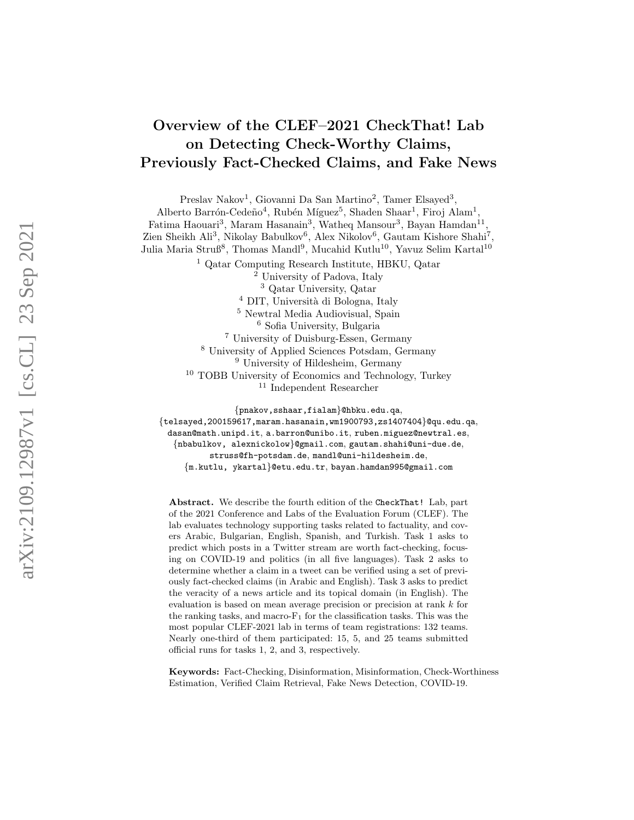# Overview of the CLEF–2021 CheckThat! Lab on Detecting Check-Worthy Claims, Previously Fact-Checked Claims, and Fake News

Preslav Nakov<sup>1</sup>, Giovanni Da San Martino<sup>2</sup>, Tamer Elsayed<sup>3</sup>, Alberto Barrón-Cedeño<sup>4</sup>, Rubén Míguez<sup>5</sup>, Shaden Shaar<sup>1</sup>, Firoj Alam<sup>1</sup>, Fatima Haouari<sup>3</sup>, Maram Hasanain<sup>3</sup>, Watheq Mansour<sup>3</sup>, Bayan Hamdan<sup>11</sup>, Zien Sheikh Ali<sup>3</sup>, Nikolay Babulkov<sup>6</sup>, Alex Nikolov<sup>6</sup>, Gautam Kishore Shahi<sup>7</sup>, Julia Maria Struß<sup>8</sup>, Thomas Mandl<sup>9</sup>, Mucahid Kutlu<sup>10</sup>, Yavuz Selim Kartal<sup>10</sup>

> Qatar Computing Research Institute, HBKU, Qatar University of Padova, Italy Qatar University, Qatar <sup>4</sup> DIT, Università di Bologna, Italy Newtral Media Audiovisual, Spain Sofia University, Bulgaria University of Duisburg-Essen, Germany University of Applied Sciences Potsdam, Germany University of Hildesheim, Germany TOBB University of Economics and Technology, Turkey Independent Researcher

{pnakov,sshaar,fialam }@hbku.edu.qa ,  $\{{\tt telsayed}, 200159617, \mathtt{maram.hasanain}, {\tt wn1900793, zs1407404}\}$ @qu.edu.qa, dasan@math.unipd.it, a.barron@unibo.it, ruben.miguez@newtral.es, {nbabulkov, alexnickolow }@gmail.com , gautam.shahi@uni-due.de , struss@fh-potsdam.de , mandl@uni-hildesheim.de , {m.kutlu, ykartal }@etu.edu.tr , bayan.hamdan995@gmail.com

Abstract. We describe the fourth edition of the CheckThat! Lab, part of the 2021 Conference and Labs of the Evaluation Forum (CLEF). The lab evaluates technology supporting tasks related to factuality, and covers Arabic, Bulgarian, English, Spanish, and Turkish. Task 1 asks to predict which posts in a Twitter stream are worth fact-checking, focusing on COVID-19 and politics (in all five languages). Task 2 asks to determine whether a claim in a tweet can be verified using a set of previously fact-checked claims (in Arabic and English). Task 3 asks to predict the veracity of a news article and its topical domain (in English). The evaluation is based on mean average precision or precision at rank k for the ranking tasks, and macro-F <sup>1</sup> for the classification tasks. This was the most popular CLEF-2021 lab in terms of team registrations: 132 teams. Nearly one-third of them participated: 15, 5, and 25 teams submitted official runs for tasks 1, 2, and 3, respectively.

Keywords: Fact-Checking, Disinformation, Misinformation, Check-Worthiness Estimation, Verified Claim Retrieval, Fake News Detection, COVID-19.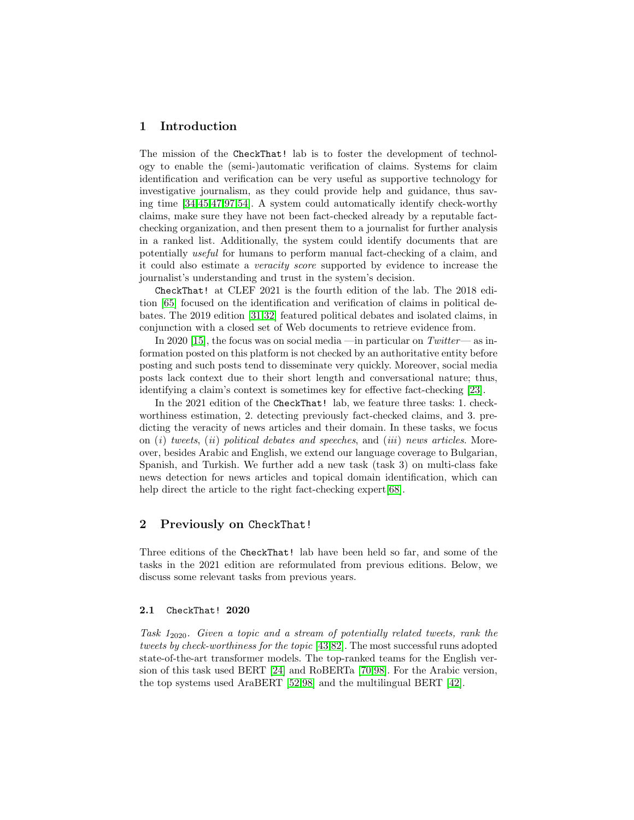### 1 Introduction

The mission of the CheckThat! lab is to foster the development of technology to enable the (semi-)automatic verification of claims. Systems for claim identification and verification can be very useful as supportive technology for investigative journalism, as they could provide help and guidance, thus saving time [\[34](#page-18-0)[,45](#page-19-0)[,47,](#page-19-1)[97,](#page-22-0)[54\]](#page-20-0). A system could automatically identify check-worthy claims, make sure they have not been fact-checked already by a reputable factchecking organization, and then present them to a journalist for further analysis in a ranked list. Additionally, the system could identify documents that are potentially useful for humans to perform manual fact-checking of a claim, and it could also estimate a veracity score supported by evidence to increase the journalist's understanding and trust in the system's decision.

CheckThat! at CLEF 2021 is the fourth edition of the lab. The 2018 edition [\[65\]](#page-20-1) focused on the identification and verification of claims in political debates. The 2019 edition [\[31](#page-18-1)[,32\]](#page-18-2) featured political debates and isolated claims, in conjunction with a closed set of Web documents to retrieve evidence from.

In 2020 [\[15\]](#page-17-0), the focus was on social media —in particular on  $Twitter$ —as information posted on this platform is not checked by an authoritative entity before posting and such posts tend to disseminate very quickly. Moreover, social media posts lack context due to their short length and conversational nature; thus, identifying a claim's context is sometimes key for effective fact-checking [\[23\]](#page-18-3).

In the 2021 edition of the CheckThat! lab, we feature three tasks: 1. checkworthiness estimation, 2. detecting previously fact-checked claims, and 3. predicting the veracity of news articles and their domain. In these tasks, we focus on  $(i)$  tweets,  $(ii)$  political debates and speeches, and  $(iii)$  news articles. Moreover, besides Arabic and English, we extend our language coverage to Bulgarian, Spanish, and Turkish. We further add a new task (task 3) on multi-class fake news detection for news articles and topical domain identification, which can help direct the article to the right fact-checking expert [\[68\]](#page-21-0).

# 2 Previously on CheckThat!

Three editions of the CheckThat! lab have been held so far, and some of the tasks in the 2021 edition are reformulated from previous editions. Below, we discuss some relevant tasks from previous years.

### 2.1 CheckThat! 2020

Task 12020. Given a topic and a stream of potentially related tweets, rank the tweets by check-worthiness for the topic [\[43](#page-19-2)[,82\]](#page-22-1). The most successful runs adopted state-of-the-art transformer models. The top-ranked teams for the English version of this task used BERT [\[24\]](#page-18-4) and RoBERTa [\[70,](#page-21-1)[98\]](#page-23-0). For the Arabic version, the top systems used AraBERT [\[52](#page-20-2)[,98\]](#page-23-0) and the multilingual BERT [\[42\]](#page-19-3).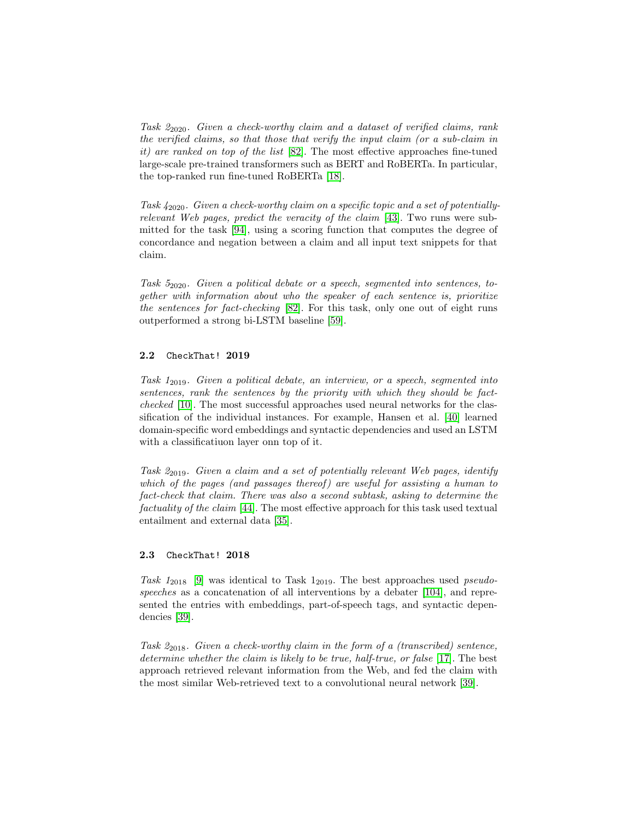Task  $2_{2020}$ . Given a check-worthy claim and a dataset of verified claims, rank the verified claims, so that those that verify the input claim (or a sub-claim in it) are ranked on top of the list [\[82\]](#page-22-1). The most effective approaches fine-tuned large-scale pre-trained transformers such as BERT and RoBERTa. In particular, the top-ranked run fine-tuned RoBERTa [\[18\]](#page-17-1).

Task 42020. Given a check-worthy claim on a specific topic and a set of potentiallyrelevant Web pages, predict the veracity of the claim [\[43\]](#page-19-2). Two runs were submitted for the task [\[94\]](#page-22-2), using a scoring function that computes the degree of concordance and negation between a claim and all input text snippets for that claim.

Task  $5_{2020}$ . Given a political debate or a speech, segmented into sentences, together with information about who the speaker of each sentence is, prioritize the sentences for fact-checking [\[82\]](#page-22-1). For this task, only one out of eight runs outperformed a strong bi-LSTM baseline [\[59\]](#page-20-3).

#### 2.2 CheckThat! 2019

Task 12019. Given a political debate, an interview, or a speech, segmented into sentences, rank the sentences by the priority with which they should be factchecked [\[10\]](#page-17-2). The most successful approaches used neural networks for the classification of the individual instances. For example, Hansen et al. [\[40\]](#page-19-4) learned domain-specific word embeddings and syntactic dependencies and used an LSTM with a classificatiuon layer onn top of it.

Task 2<sub>2019</sub>. Given a claim and a set of potentially relevant Web pages, identify which of the pages (and passages thereof) are useful for assisting a human to fact-check that claim. There was also a second subtask, asking to determine the factuality of the claim [\[44\]](#page-19-5). The most effective approach for this task used textual entailment and external data [\[35\]](#page-19-6).

#### 2.3 CheckThat! 2018

Task  $1_{2018}$  [\[9\]](#page-17-3) was identical to Task  $1_{2019}$ . The best approaches used *pseudo-*speeches as a concatenation of all interventions by a debater [\[104\]](#page-23-1), and represented the entries with embeddings, part-of-speech tags, and syntactic dependencies [\[39\]](#page-19-7).

Task  $2_{2018}$ . Given a check-worthy claim in the form of a (transcribed) sentence, determine whether the claim is likely to be true, half-true, or false [\[17\]](#page-17-4). The best approach retrieved relevant information from the Web, and fed the claim with the most similar Web-retrieved text to a convolutional neural network [\[39\]](#page-19-7).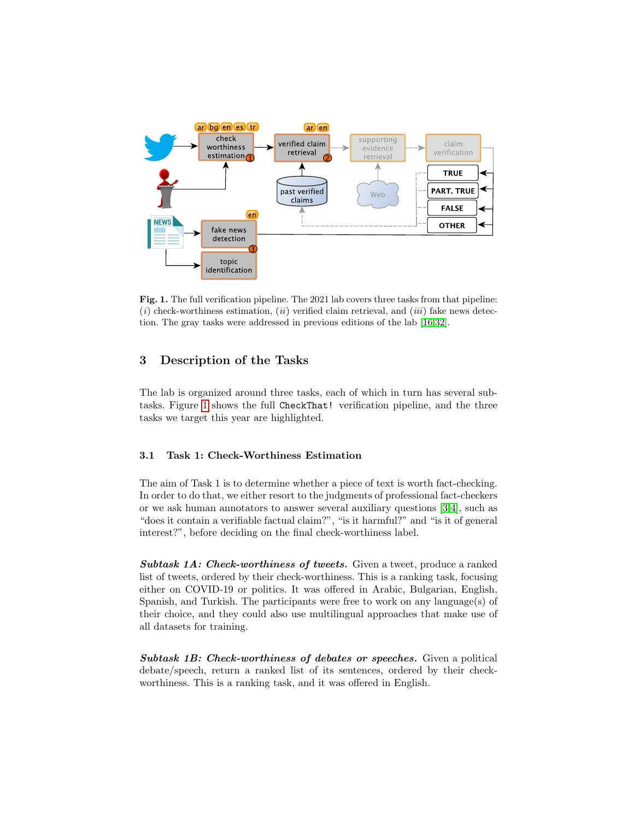

<span id="page-3-0"></span>Fig. 1. The full verification pipeline. The 2021 lab covers three tasks from that pipeline:  $(i)$  check-worthiness estimation,  $(ii)$  verified claim retrieval, and  $(iii)$  fake news detection. The gray tasks were addressed in previous editions of the lab [\[16,](#page-17-5)[32\]](#page-18-2).

# 3 Description of the Tasks

The lab is organized around three tasks, each of which in turn has several subtasks. Figure [1](#page-3-0) shows the full CheckThat! verification pipeline, and the three tasks we target this year are highlighted.

# 3.1 Task 1: Check-Worthiness Estimation

The aim of Task 1 is to determine whether a piece of text is worth fact-checking. In order to do that, we either resort to the judgments of professional fact-checkers or we ask human annotators to answer several auxiliary questions [\[3,](#page-16-0)[4\]](#page-16-1), such as "does it contain a verifiable factual claim?", "is it harmful?" and "is it of general interest?", before deciding on the final check-worthiness label.

Subtask 1A: Check-worthiness of tweets. Given a tweet, produce a ranked list of tweets, ordered by their check-worthiness. This is a ranking task, focusing either on COVID-19 or politics. It was offered in Arabic, Bulgarian, English, Spanish, and Turkish. The participants were free to work on any language(s) of their choice, and they could also use multilingual approaches that make use of all datasets for training.

Subtask 1B: Check-worthiness of debates or speeches. Given a political debate/speech, return a ranked list of its sentences, ordered by their checkworthiness. This is a ranking task, and it was offered in English.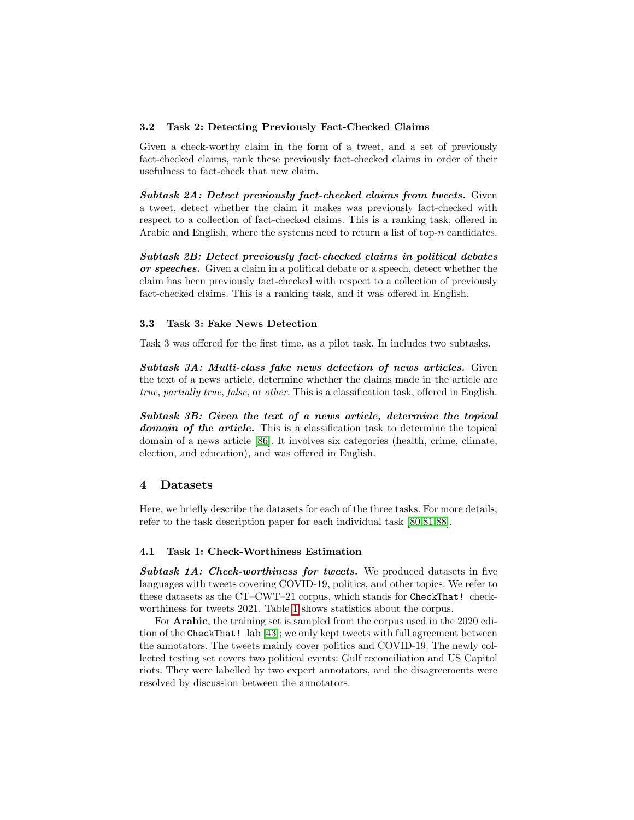#### 3.2 Task 2: Detecting Previously Fact-Checked Claims

Given a check-worthy claim in the form of a tweet, and a set of previously fact-checked claims, rank these previously fact-checked claims in order of their usefulness to fact-check that new claim.

Subtask 2A: Detect previously fact-checked claims from tweets. Given a tweet, detect whether the claim it makes was previously fact-checked with respect to a collection of fact-checked claims. This is a ranking task, offered in Arabic and English, where the systems need to return a list of top- $n$  candidates.

Subtask 2B: Detect previously fact-checked claims in political debates or speeches. Given a claim in a political debate or a speech, detect whether the claim has been previously fact-checked with respect to a collection of previously fact-checked claims. This is a ranking task, and it was offered in English.

### 3.3 Task 3: Fake News Detection

Task 3 was offered for the first time, as a pilot task. In includes two subtasks.

Subtask 3A: Multi-class fake news detection of news articles. Given the text of a news article, determine whether the claims made in the article are true, partially true, false, or other. This is a classification task, offered in English.

Subtask 3B: Given the text of a news article, determine the topical domain of the article. This is a classification task to determine the topical domain of a news article [\[86\]](#page-22-3). It involves six categories (health, crime, climate, election, and education), and was offered in English.

# 4 Datasets

Here, we briefly describe the datasets for each of the three tasks. For more details, refer to the task description paper for each individual task [\[80,](#page-21-2)[81,](#page-22-4)[88\]](#page-22-5).

#### 4.1 Task 1: Check-Worthiness Estimation

Subtask 1A: Check-worthiness for tweets. We produced datasets in five languages with tweets covering COVID-19, politics, and other topics. We refer to these datasets as the CT–CWT–21 corpus, which stands for CheckThat! checkworthiness for tweets 2021. Table [1](#page-5-0) shows statistics about the corpus.

For Arabic, the training set is sampled from the corpus used in the 2020 edition of the CheckThat! lab [\[43\]](#page-19-2); we only kept tweets with full agreement between the annotators. The tweets mainly cover politics and COVID-19. The newly collected testing set covers two political events: Gulf reconciliation and US Capitol riots. They were labelled by two expert annotators, and the disagreements were resolved by discussion between the annotators.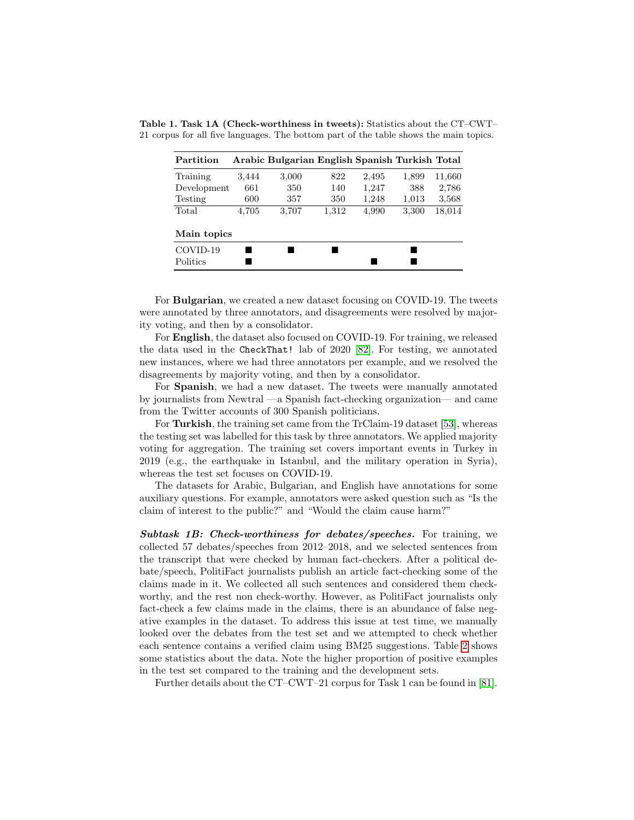<span id="page-5-0"></span>

| Partition   |       | Arabic Bulgarian English Spanish Turkish Total |       |       |       |        |
|-------------|-------|------------------------------------------------|-------|-------|-------|--------|
| Training    | 3.444 | 3,000                                          | 822   | 2,495 | 1,899 | 11,660 |
| Development | 661   | 350                                            | 140   | 1,247 | 388   | 2,786  |
| Testing     | 600   | 357                                            | 350   | 1,248 | 1,013 | 3,568  |
| Total       | 4,705 | 3.707                                          | 1,312 | 4,990 | 3,300 | 18,014 |
| Main topics |       |                                                |       |       |       |        |
| COVID-19    |       |                                                |       |       |       |        |
| Politics    |       |                                                |       |       |       |        |

Table 1. Task 1A (Check-worthiness in tweets): Statistics about the CT–CWT– 21 corpus for all five languages. The bottom part of the table shows the main topics.

For Bulgarian, we created a new dataset focusing on COVID-19. The tweets were annotated by three annotators, and disagreements were resolved by majority voting, and then by a consolidator.

For English, the dataset also focused on COVID-19. For training, we released the data used in the CheckThat! lab of 2020 [\[82\]](#page-22-1). For testing, we annotated new instances, where we had three annotators per example, and we resolved the disagreements by majority voting, and then by a consolidator.

For Spanish, we had a new dataset. The tweets were manually annotated by journalists from Newtral —a Spanish fact-checking organization— and came from the Twitter accounts of 300 Spanish politicians.

For Turkish, the training set came from the TrClaim-19 dataset [\[53\]](#page-20-4), whereas the testing set was labelled for this task by three annotators. We applied majority voting for aggregation. The training set covers important events in Turkey in 2019 (e.g., the earthquake in Istanbul, and the military operation in Syria), whereas the test set focuses on COVID-19.

The datasets for Arabic, Bulgarian, and English have annotations for some auxiliary questions. For example, annotators were asked question such as "Is the claim of interest to the public?" and "Would the claim cause harm?"

Subtask 1B: Check-worthiness for debates/speeches. For training, we collected 57 debates/speeches from 2012–2018, and we selected sentences from the transcript that were checked by human fact-checkers. After a political debate/speech, PolitiFact journalists publish an article fact-checking some of the claims made in it. We collected all such sentences and considered them checkworthy, and the rest non check-worthy. However, as PolitiFact journalists only fact-check a few claims made in the claims, there is an abundance of false negative examples in the dataset. To address this issue at test time, we manually looked over the debates from the test set and we attempted to check whether each sentence contains a verified claim using BM25 suggestions. Table [2](#page-6-0) shows some statistics about the data. Note the higher proportion of positive examples in the test set compared to the training and the development sets.

Further details about the CT–CWT–21 corpus for Task 1 can be found in [\[81\]](#page-22-4).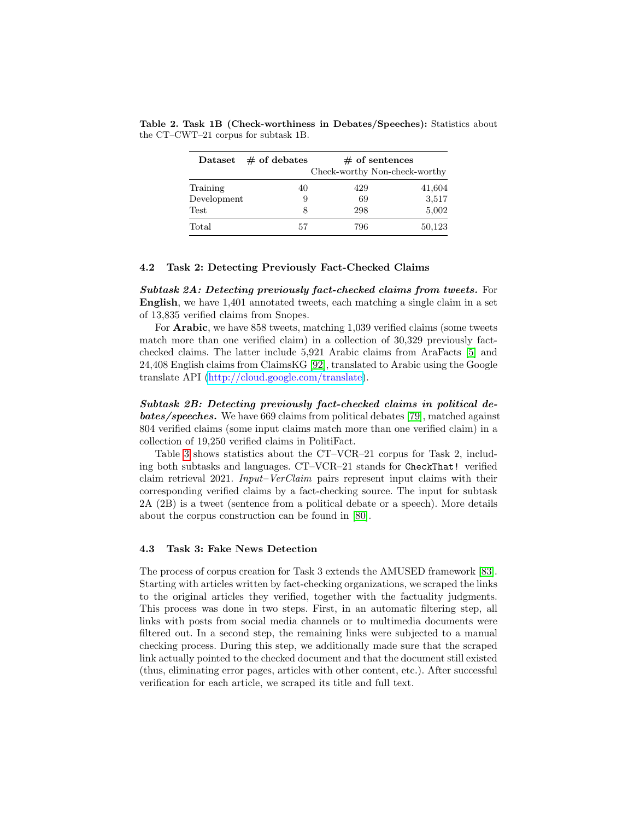<span id="page-6-0"></span>

| $\rm Dataset$ | $#$ of debates | $#$ of sentences<br>Check-worthy Non-check-worthy |        |  |  |  |  |  |  |
|---------------|----------------|---------------------------------------------------|--------|--|--|--|--|--|--|
| Training      | 40             | 429                                               | 41,604 |  |  |  |  |  |  |
| Development   | 9              | 69                                                | 3,517  |  |  |  |  |  |  |
| Test          | 8              | 298                                               | 5,002  |  |  |  |  |  |  |
| Total         | 57             | 796                                               | 50,123 |  |  |  |  |  |  |

Table 2. Task 1B (Check-worthiness in Debates/Speeches): Statistics about the CT–CWT–21 corpus for subtask 1B.

#### 4.2 Task 2: Detecting Previously Fact-Checked Claims

Subtask 2A: Detecting previously fact-checked claims from tweets. For English, we have 1,401 annotated tweets, each matching a single claim in a set of 13,835 verified claims from Snopes.

For Arabic, we have 858 tweets, matching 1,039 verified claims (some tweets match more than one verified claim) in a collection of 30,329 previously factchecked claims. The latter include 5,921 Arabic claims from AraFacts [\[5\]](#page-17-6) and 24,408 English claims from ClaimsKG [\[92\]](#page-22-6), translated to Arabic using the Google translate API [\(http://cloud.google.com/translate\)](http://cloud.google.com/translate).

Subtask 2B: Detecting previously fact-checked claims in political debates/speeches. We have 669 claims from political debates [\[79\]](#page-21-3), matched against 804 verified claims (some input claims match more than one verified claim) in a collection of 19,250 verified claims in PolitiFact.

Table [3](#page-7-0) shows statistics about the CT–VCR–21 corpus for Task 2, including both subtasks and languages. CT–VCR–21 stands for CheckThat! verified claim retrieval 2021. Input–VerClaim pairs represent input claims with their corresponding verified claims by a fact-checking source. The input for subtask 2A (2B) is a tweet (sentence from a political debate or a speech). More details about the corpus construction can be found in [\[80\]](#page-21-2).

#### 4.3 Task 3: Fake News Detection

The process of corpus creation for Task 3 extends the AMUSED framework [\[83\]](#page-22-7). Starting with articles written by fact-checking organizations, we scraped the links to the original articles they verified, together with the factuality judgments. This process was done in two steps. First, in an automatic filtering step, all links with posts from social media channels or to multimedia documents were filtered out. In a second step, the remaining links were subjected to a manual checking process. During this step, we additionally made sure that the scraped link actually pointed to the checked document and that the document still existed (thus, eliminating error pages, articles with other content, etc.). After successful verification for each article, we scraped its title and full text.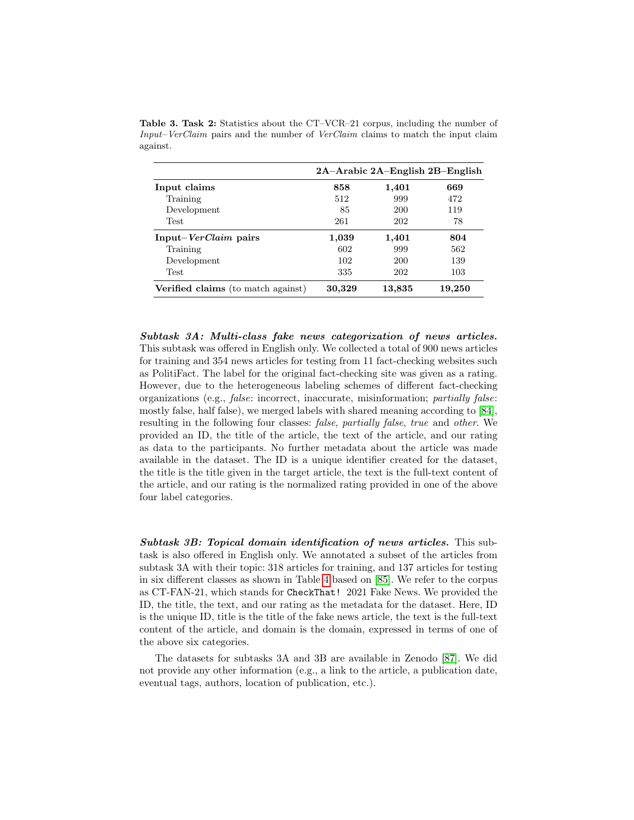|                                           |        |            | $2A-Arabic 2A-English 2B-English$ |
|-------------------------------------------|--------|------------|-----------------------------------|
| Input claims                              | 858    | 1,401      | 669                               |
| Training                                  | 512    | 999        | 472                               |
| Development                               | 85     | 200        | 119                               |
| <b>Test</b>                               | 261    | 202        | 78                                |
| Input– <i>VerClaim</i> pairs              | 1,039  | 1,401      | 804                               |
| Training                                  | 602    | 999        | 562                               |
| Development                               | 102    | 200        | 139                               |
| <b>Test</b>                               | 335    | 202        | 103                               |
| <b>Verified claims</b> (to match against) | 30,329 | $13{,}835$ | 19,250                            |

<span id="page-7-0"></span>Table 3. Task 2: Statistics about the CT–VCR–21 corpus, including the number of Input–VerClaim pairs and the number of VerClaim claims to match the input claim against.

Subtask 3A: Multi-class fake news categorization of news articles. This subtask was offered in English only. We collected a total of 900 news articles for training and 354 news articles for testing from 11 fact-checking websites such as PolitiFact. The label for the original fact-checking site was given as a rating. However, due to the heterogeneous labeling schemes of different fact-checking organizations (e.g., false: incorrect, inaccurate, misinformation; partially false: mostly false, half false), we merged labels with shared meaning according to [\[84\]](#page-22-8), resulting in the following four classes: false, partially false, true and other. We provided an ID, the title of the article, the text of the article, and our rating as data to the participants. No further metadata about the article was made available in the dataset. The ID is a unique identifier created for the dataset, the title is the title given in the target article, the text is the full-text content of the article, and our rating is the normalized rating provided in one of the above four label categories.

Subtask 3B: Topical domain identification of news articles. This subtask is also offered in English only. We annotated a subset of the articles from subtask 3A with their topic: 318 articles for training, and 137 articles for testing in six different classes as shown in Table [4](#page-8-0) based on [\[85\]](#page-22-9). We refer to the corpus as CT-FAN-21, which stands for CheckThat! 2021 Fake News. We provided the ID, the title, the text, and our rating as the metadata for the dataset. Here, ID is the unique ID, title is the title of the fake news article, the text is the full-text content of the article, and domain is the domain, expressed in terms of one of the above six categories.

The datasets for subtasks 3A and 3B are available in Zenodo [\[87\]](#page-22-10). We did not provide any other information (e.g., a link to the article, a publication date, eventual tags, authors, location of publication, etc.).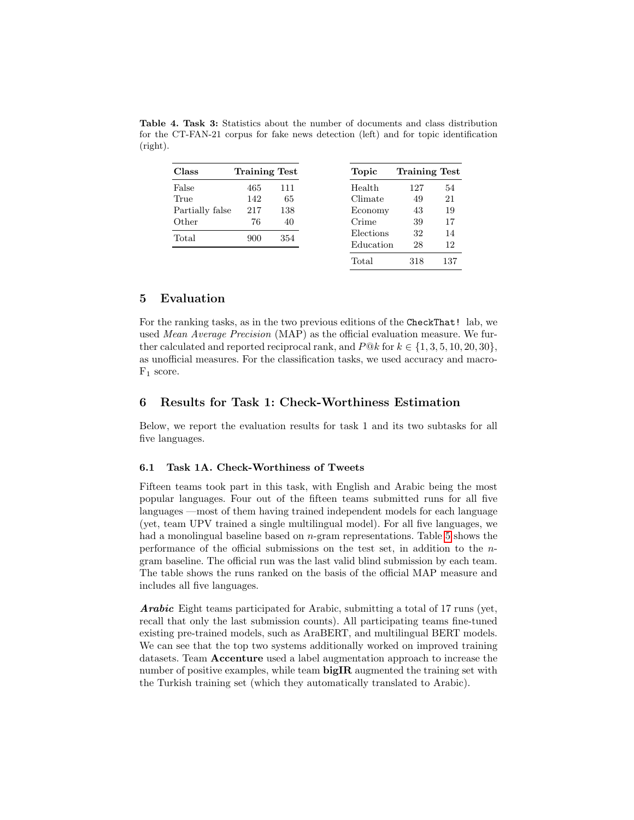| Class           | <b>Training Test</b> |     |
|-----------------|----------------------|-----|
| False           | 465                  | 111 |
| True            | 142                  | 65  |
| Partially false | 217                  | 138 |
| Other           | 76                   | 40  |
| Total           | 900                  | 354 |
|                 |                      |     |
|                 |                      |     |

<span id="page-8-0"></span>Table 4. Task 3: Statistics about the number of documents and class distribution for the CT-FAN-21 corpus for fake news detection (left) and for topic identification (right).

### 5 Evaluation

For the ranking tasks, as in the two previous editions of the CheckThat! lab, we used Mean Average Precision (MAP) as the official evaluation measure. We further calculated and reported reciprocal rank, and  $P@k$  for  $k \in \{1, 3, 5, 10, 20, 30\}$ , as unofficial measures. For the classification tasks, we used accuracy and macro- $F_1$  score.

### 6 Results for Task 1: Check-Worthiness Estimation

Below, we report the evaluation results for task 1 and its two subtasks for all five languages.

### 6.1 Task 1A. Check-Worthiness of Tweets

Fifteen teams took part in this task, with English and Arabic being the most popular languages. Four out of the fifteen teams submitted runs for all five languages —most of them having trained independent models for each language (yet, team UPV trained a single multilingual model). For all five languages, we had a monolingual baseline based on *n*-gram representations. Table [5](#page-9-0) shows the performance of the official submissions on the test set, in addition to the ngram baseline. The official run was the last valid blind submission by each team. The table shows the runs ranked on the basis of the official MAP measure and includes all five languages.

Arabic Eight teams participated for Arabic, submitting a total of 17 runs (yet, recall that only the last submission counts). All participating teams fine-tuned existing pre-trained models, such as AraBERT, and multilingual BERT models. We can see that the top two systems additionally worked on improved training datasets. Team Accenture used a label augmentation approach to increase the number of positive examples, while team  $bigIR$  augmented the training set with the Turkish training set (which they automatically translated to Arabic).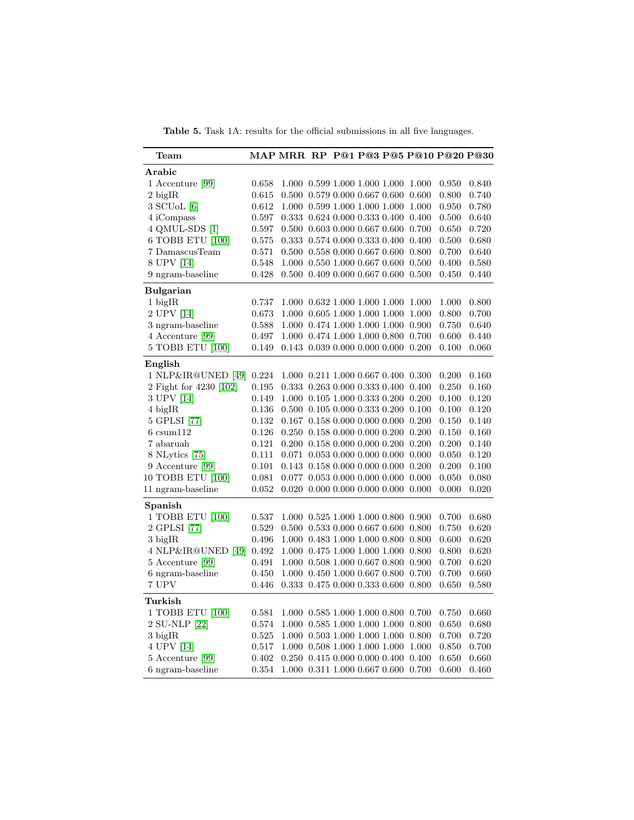<span id="page-9-0"></span>Table 5. Task 1A: results for the official submissions in all five languages.

| $\operatorname{Team}$        |             | MAP MRR RP P@1 P@3 P@5 P@10 P@20 P@30           |  |  |                                                 |       |       |
|------------------------------|-------------|-------------------------------------------------|--|--|-------------------------------------------------|-------|-------|
| Arabic                       |             |                                                 |  |  |                                                 |       |       |
| 1 Accenture [99]             | 0.658       | 1.000 0.599 1.000 1.000 1.000                   |  |  | 1.000                                           | 0.950 | 0.840 |
| $2$ bigIR                    | 0.615       | 0.500 0.579 0.000 0.667 0.600                   |  |  | 0.600                                           | 0.800 | 0.740 |
| $3$ SCU <sub>o</sub> L $[6]$ | 0.612       | 1.000 0.599 1.000 1.000 1.000                   |  |  | 1.000                                           | 0.950 | 0.780 |
| 4 iCompass                   | 0.597       | 0.333 0.624 0.000 0.333 0.400 0.400             |  |  |                                                 | 0.500 | 0.640 |
| 4 QMUL-SDS [1]               | 0.597       | $0.500$ $0.603$ $0.000$ $0.667$ $0.600$ $0.700$ |  |  |                                                 | 0.650 | 0.720 |
| 6 TOBB ETU [100]             | 0.575       | 0.333 0.574 0.000 0.333 0.400                   |  |  | 0.400                                           | 0.500 | 0.680 |
| 7 DamascusTeam               | 0.571       | $0.500$ $0.558$ $0.000$ $0.667$ $0.600$         |  |  | 0.800                                           | 0.700 | 0.640 |
| 8 UPV [14]                   | 0.548       | $1.000$ $0.550$ $1.000$ $0.667$ $0.600$         |  |  | 0.500                                           | 0.400 | 0.580 |
| 9 ngram-baseline             | 0.428       | 0.500 0.409 0.000 0.667 0.600                   |  |  | 0.500                                           | 0.450 | 0.440 |
| <b>Bulgarian</b>             |             |                                                 |  |  |                                                 |       |       |
| $1$ bigIR                    | 0.737       | $1.000\ \ 0.632\ 1.000\ 1.000\ 1.000$           |  |  | 1.000                                           | 1.000 | 0.800 |
| 2 UPV [14]                   | 0.673       | 1.000 0.605 1.000 1.000 1.000                   |  |  | 1.000                                           | 0.800 | 0.700 |
| 3 ngram-baseline             | 0.588       | 1.000 0.474 1.000 1.000 1.000                   |  |  | 0.900                                           | 0.750 | 0.640 |
| 4 Accenture [99]             | 0.497       |                                                 |  |  | 1.000 0.474 1.000 1.000 0.800 0.700             | 0.600 | 0.440 |
| 5 TOBB ETU [100]             | 0.149       | $0.143$ $0.039$ $0.000$ $0.000$ $0.000$ $0.200$ |  |  |                                                 | 0.100 | 0.060 |
| English                      |             |                                                 |  |  |                                                 |       |       |
| 1 NLP&IR@UNED [49]           | $0.224\,$   | 1.000 0.211 1.000 0.667 0.400 0.300             |  |  |                                                 | 0.200 | 0.160 |
| 2 Fight for 4230 [102]       | 0.195       | 0.333 0.263 0.000 0.333 0.400 0.400             |  |  |                                                 | 0.250 | 0.160 |
| 3 UPV [14]                   | 0.149       |                                                 |  |  | 1.000 0.105 1.000 0.333 0.200 0.200             | 0.100 | 0.120 |
| 4 bigIR                      | 0.136       | $0.500\;$ $0.105\;0.000\;0.333\;0.200$          |  |  | 0.100                                           | 0.100 | 0.120 |
| 5 GPLSI [77]                 | 0.132       | $0.167$ $0.158$ $0.000$ $0.000$ $0.000$ $0.200$ |  |  |                                                 | 0.150 | 0.140 |
| $6 \text{ csum} 112$         | 0.126       | $0.250$ $0.158$ $0.000$ $0.000$ $0.200$ $0.200$ |  |  |                                                 | 0.150 | 0.160 |
| 7 abaruah                    | 0.121       | $0.200$ $0.158$ $0.000$ $0.000$ $0.200$ $0.200$ |  |  |                                                 | 0.200 | 0.140 |
| 8 NLytics [75]               | 0.111       |                                                 |  |  | $0.071$ $0.053$ $0.000$ $0.000$ $0.000$ $0.000$ | 0.050 | 0.120 |
| 9 Accenture [99]             | 0.101       | $0.143$ $0.158$ $0.000$ $0.000$ $0.000$         |  |  | 0.200                                           | 0.200 | 0.100 |
| 10 TOBB ETU [100]            | $\,0.081\,$ | 0.077 0.053 0.000 0.000 0.000                   |  |  | 0.000                                           | 0.050 | 0.080 |
| 11 ngram-baseline            | 0.052       | $0.020$ $0.000$ $0.000$ $0.000$ $0.000$         |  |  | 0.000                                           | 0.000 | 0.020 |
| Spanish                      |             |                                                 |  |  |                                                 |       |       |
| 1 TOBB ETU [100]             | 0.537       | 1.000 0.525 1.000 1.000 0.800                   |  |  | 0.900                                           | 0.700 | 0.680 |
| 2 GPLSI [77]                 | 0.529       |                                                 |  |  | 0.500 0.533 0.000 0.667 0.600 0.800             | 0.750 | 0.620 |
| $3$ bigIR                    | 0.496       | 1.000 0.483 1.000 1.000 0.800                   |  |  | 0.800                                           | 0.600 | 0.620 |
| 4 NLP&IR@UNED [49]           | 0.492       | 1.000 0.475 1.000 1.000 1.000                   |  |  | 0.800                                           | 0.800 | 0.620 |
| $5$ Accenture $[99]$         | 0.491       |                                                 |  |  | 1.000 0.508 1.000 0.667 0.800 0.900             | 0.700 | 0.620 |
| 6 ngram-baseline             | 0.450       | 1.000 0.450 1.000 0.667 0.800                   |  |  | 0.700                                           | 0.700 | 0.660 |
| 7 UPV                        | 0.446       |                                                 |  |  | 0.333 0.475 0.000 0.333 0.600 0.800             | 0.650 | 0.580 |
| Turkish                      |             |                                                 |  |  |                                                 |       |       |
| 1 TOBB ETU [100]             | 0.581       | 1.000 0.585 1.000 1.000 0.800                   |  |  | 0.700                                           | 0.750 | 0.660 |
| 2 SU-NLP [22]                | 0.574       |                                                 |  |  | 1.000 0.585 1.000 1.000 1.000 0.800             | 0.650 | 0.680 |
| $3$ bigIR                    | 0.525       | 1.000 0.503 1.000 1.000 1.000                   |  |  | 0.800                                           | 0.700 | 0.720 |
| 4 UPV [14]                   | 0.517       | 1.000 0.508 1.000 1.000 1.000                   |  |  | 1.000                                           | 0.850 | 0.700 |
| 5 Accenture [99]             | 0.402       |                                                 |  |  | 0.250 0.415 0.000 0.000 0.400 0.400             | 0.650 | 0.660 |
| 6 ngram-baseline             | 0.354       | 1.000 0.311 1.000 0.667 0.600 0.700             |  |  |                                                 | 0.600 | 0.460 |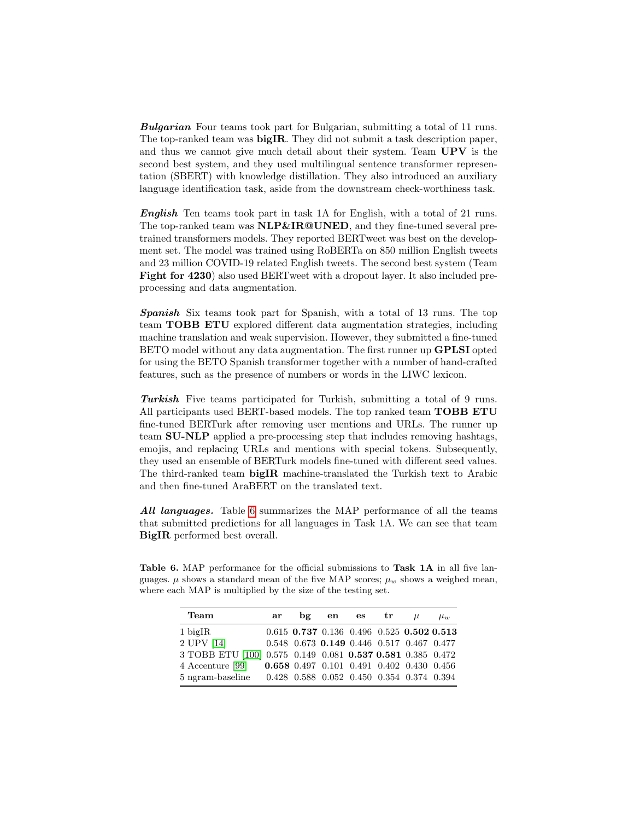**Bulgarian** Four teams took part for Bulgarian, submitting a total of 11 runs. The top-ranked team was bigIR. They did not submit a task description paper, and thus we cannot give much detail about their system. Team UPV is the second best system, and they used multilingual sentence transformer representation (SBERT) with knowledge distillation. They also introduced an auxiliary language identification task, aside from the downstream check-worthiness task.

English Ten teams took part in task 1A for English, with a total of 21 runs. The top-ranked team was NLP&IR@UNED, and they fine-tuned several pretrained transformers models. They reported BERTweet was best on the development set. The model was trained using RoBERTa on 850 million English tweets and 23 million COVID-19 related English tweets. The second best system (Team Fight for 4230) also used BERTweet with a dropout layer. It also included preprocessing and data augmentation.

Spanish Six teams took part for Spanish, with a total of 13 runs. The top team TOBB ETU explored different data augmentation strategies, including machine translation and weak supervision. However, they submitted a fine-tuned BETO model without any data augmentation. The first runner up GPLSI opted for using the BETO Spanish transformer together with a number of hand-crafted features, such as the presence of numbers or words in the LIWC lexicon.

Turkish Five teams participated for Turkish, submitting a total of 9 runs. All participants used BERT-based models. The top ranked team **TOBB ETU** fine-tuned BERTurk after removing user mentions and URLs. The runner up team SU-NLP applied a pre-processing step that includes removing hashtags, emojis, and replacing URLs and mentions with special tokens. Subsequently, they used an ensemble of BERTurk models fine-tuned with different seed values. The third-ranked team bigIR machine-translated the Turkish text to Arabic and then fine-tuned AraBERT on the translated text.

All languages. Table [6](#page-10-0) summarizes the MAP performance of all the teams that submitted predictions for all languages in Task 1A. We can see that team BigIR performed best overall.

<span id="page-10-0"></span>Table 6. MAP performance for the official submissions to Task 1A in all five languages.  $\mu$  shows a standard mean of the five MAP scores;  $\mu_w$  shows a weighed mean, where each MAP is multiplied by the size of the testing set.

| Team                                                       | ar bg en es tr                            |  | $\mu$ | $\mu_w$ |
|------------------------------------------------------------|-------------------------------------------|--|-------|---------|
| $1$ bigIR                                                  | 0.615 0.737 0.136 0.496 0.525 0.502 0.513 |  |       |         |
| 2 UPV [14]                                                 | 0.548 0.673 0.149 0.446 0.517 0.467 0.477 |  |       |         |
| 3 TOBB ETU [100] 0.575 0.149 0.081 0.537 0.581 0.385 0.472 |                                           |  |       |         |
| 4 Accenture [99]                                           | 0.658 0.497 0.101 0.491 0.402 0.430 0.456 |  |       |         |
| 5 ngram-baseline                                           | 0.428 0.588 0.052 0.450 0.354 0.374 0.394 |  |       |         |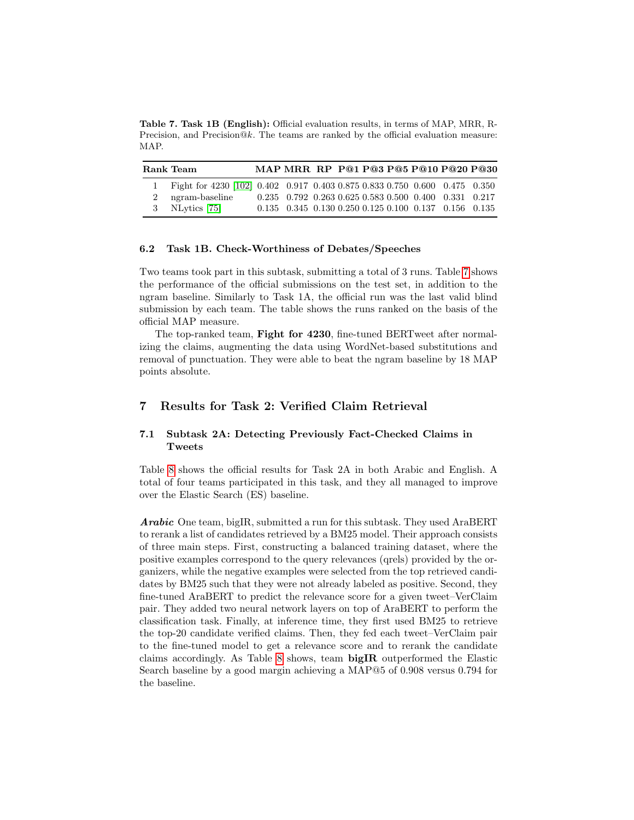<span id="page-11-0"></span>Table 7. Task 1B (English): Official evaluation results, in terms of MAP, MRR, R-Precision, and Precision $@k$ . The teams are ranked by the official evaluation measure: MAP.

| Rank Team                                                                    | MAP MRR RP P@1 P@3 P@5 P@10 P@20 P@30                                   |  |  |  |  |
|------------------------------------------------------------------------------|-------------------------------------------------------------------------|--|--|--|--|
| 1 Fight for 4230 [102] 0.402 0.917 0.403 0.875 0.833 0.750 0.600 0.475 0.350 |                                                                         |  |  |  |  |
| 2 ngram-baseline                                                             | $0.235$ $0.792$ $0.263$ $0.625$ $0.583$ $0.500$ $0.400$ $0.331$ $0.217$ |  |  |  |  |
| 3 NLytics $[75]$                                                             | $0.135$ $0.345$ $0.130$ $0.250$ $0.125$ $0.100$ $0.137$ $0.156$ $0.135$ |  |  |  |  |

#### 6.2 Task 1B. Check-Worthiness of Debates/Speeches

Two teams took part in this subtask, submitting a total of 3 runs. Table [7](#page-11-0) shows the performance of the official submissions on the test set, in addition to the ngram baseline. Similarly to Task 1A, the official run was the last valid blind submission by each team. The table shows the runs ranked on the basis of the official MAP measure.

The top-ranked team, Fight for 4230, fine-tuned BERTweet after normalizing the claims, augmenting the data using WordNet-based substitutions and removal of punctuation. They were able to beat the ngram baseline by 18 MAP points absolute.

# 7 Results for Task 2: Verified Claim Retrieval

### 7.1 Subtask 2A: Detecting Previously Fact-Checked Claims in Tweets

Table [8](#page-12-0) shows the official results for Task 2A in both Arabic and English. A total of four teams participated in this task, and they all managed to improve over the Elastic Search (ES) baseline.

Arabic One team, bigIR, submitted a run for this subtask. They used AraBERT to rerank a list of candidates retrieved by a BM25 model. Their approach consists of three main steps. First, constructing a balanced training dataset, where the positive examples correspond to the query relevances (qrels) provided by the organizers, while the negative examples were selected from the top retrieved candidates by BM25 such that they were not already labeled as positive. Second, they fine-tuned AraBERT to predict the relevance score for a given tweet–VerClaim pair. They added two neural network layers on top of AraBERT to perform the classification task. Finally, at inference time, they first used BM25 to retrieve the top-20 candidate verified claims. Then, they fed each tweet–VerClaim pair to the fine-tuned model to get a relevance score and to rerank the candidate claims accordingly. As Table [8](#page-12-0) shows, team bigIR outperformed the Elastic Search baseline by a good margin achieving a MAP@5 of 0.908 versus 0.794 for the baseline.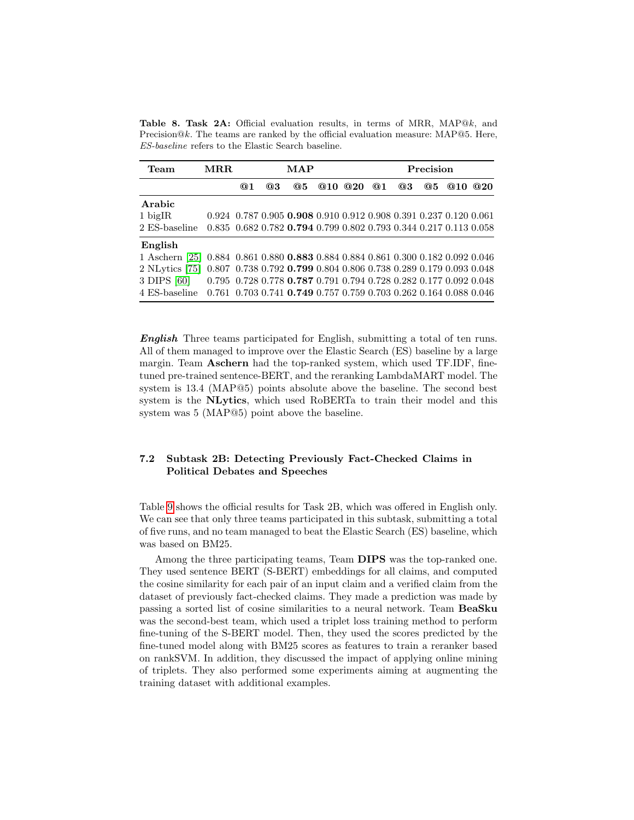<span id="page-12-0"></span>Table 8. Task 2A: Official evaluation results, in terms of MRR, MAP@k, and Precision $@k$ . The teams are ranked by the official evaluation measure: MAP $@5$ . Here, ES-baseline refers to the Elastic Search baseline.

| Team                                                                             | $\bf{MRR}$                                                                              |    | MAP |                                                                   |  |        | Precision |    |    |     |     |
|----------------------------------------------------------------------------------|-----------------------------------------------------------------------------------------|----|-----|-------------------------------------------------------------------|--|--------|-----------|----|----|-----|-----|
|                                                                                  |                                                                                         | @1 | @3  | @5                                                                |  | @10@20 | @1        | @3 | @5 | @10 | @20 |
| Arabic                                                                           |                                                                                         |    |     |                                                                   |  |        |           |    |    |     |     |
| $1$ bigIR                                                                        |                                                                                         |    |     | 0.924 0.787 0.905 0.908 0.910 0.912 0.908 0.391 0.237 0.120 0.061 |  |        |           |    |    |     |     |
| 2 ES-baseline                                                                    |                                                                                         |    |     | 0.835 0.682 0.782 0.794 0.799 0.802 0.793 0.344 0.217 0.113 0.058 |  |        |           |    |    |     |     |
| English                                                                          |                                                                                         |    |     |                                                                   |  |        |           |    |    |     |     |
| 1 Aschern [25] 0.884 0.861 0.880 0.883 0.884 0.884 0.861 0.300 0.182 0.092 0.046 |                                                                                         |    |     |                                                                   |  |        |           |    |    |     |     |
| $2$ NLytics [75]                                                                 |                                                                                         |    |     | 0.807 0.738 0.792 0.799 0.804 0.806 0.738 0.289 0.179 0.093 0.048 |  |        |           |    |    |     |     |
| 3 DIPS [60]                                                                      |                                                                                         |    |     | 0.795 0.728 0.778 0.787 0.791 0.794 0.728 0.282 0.177 0.092 0.048 |  |        |           |    |    |     |     |
| 4 ES-baseline                                                                    | $0.761$ $0.703$ $0.741$ $0.749$ $0.757$ $0.759$ $0.703$ $0.262$ $0.164$ $0.088$ $0.046$ |    |     |                                                                   |  |        |           |    |    |     |     |

English Three teams participated for English, submitting a total of ten runs. All of them managed to improve over the Elastic Search (ES) baseline by a large margin. Team Aschern had the top-ranked system, which used TF.IDF, finetuned pre-trained sentence-BERT, and the reranking LambdaMART model. The system is 13.4 (MAP@5) points absolute above the baseline. The second best system is the NLytics, which used RoBERTa to train their model and this system was 5 (MAP@5) point above the baseline.

# 7.2 Subtask 2B: Detecting Previously Fact-Checked Claims in Political Debates and Speeches

Table [9](#page-13-0) shows the official results for Task 2B, which was offered in English only. We can see that only three teams participated in this subtask, submitting a total of five runs, and no team managed to beat the Elastic Search (ES) baseline, which was based on BM25.

Among the three participating teams, Team DIPS was the top-ranked one. They used sentence BERT (S-BERT) embeddings for all claims, and computed the cosine similarity for each pair of an input claim and a verified claim from the dataset of previously fact-checked claims. They made a prediction was made by passing a sorted list of cosine similarities to a neural network. Team BeaSku was the second-best team, which used a triplet loss training method to perform fine-tuning of the S-BERT model. Then, they used the scores predicted by the fine-tuned model along with BM25 scores as features to train a reranker based on rankSVM. In addition, they discussed the impact of applying online mining of triplets. They also performed some experiments aiming at augmenting the training dataset with additional examples.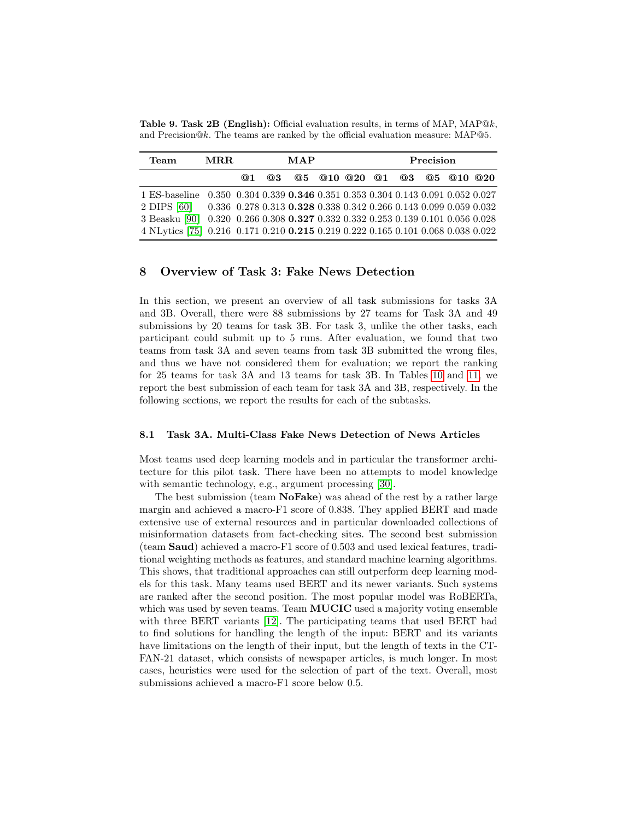<span id="page-13-0"></span>**Table 9. Task 2B (English):** Official evaluation results, in terms of MAP, MAP $@k$ , and Precision@k. The teams are ranked by the official evaluation measure: MAP@5.

| <b>Team</b>                                                                                                                              | MRR. |           | MAP |  |  |  | Precision |  |                             |  |  |
|------------------------------------------------------------------------------------------------------------------------------------------|------|-----------|-----|--|--|--|-----------|--|-----------------------------|--|--|
|                                                                                                                                          |      | <b>@1</b> | @3  |  |  |  |           |  | Q5 Q10 Q20 Q1 Q3 Q5 Q10 Q20 |  |  |
| 1 ES-baseline 0.350 0.304 0.339 0.346 0.351 0.353 0.304 0.143 0.091 0.052 0.027                                                          |      |           |     |  |  |  |           |  |                             |  |  |
| 2 DIPS [60] 0.336 0.278 0.313 0.328 0.338 0.342 0.266 0.143 0.099 0.059 0.032                                                            |      |           |     |  |  |  |           |  |                             |  |  |
| 3 Beasku $\left[90\right]$ $\left[0.320\right]$ $0.266$ $0.308$ $\textbf{0.327}$ $0.332$ $0.332$ $0.253$ $0.139$ $0.101$ $0.056$ $0.028$ |      |           |     |  |  |  |           |  |                             |  |  |
| 4 NLytics [75] 0.216 0.171 0.210 0.215 0.219 0.222 0.165 0.101 0.068 0.038 0.022                                                         |      |           |     |  |  |  |           |  |                             |  |  |

### 8 Overview of Task 3: Fake News Detection

In this section, we present an overview of all task submissions for tasks 3A and 3B. Overall, there were 88 submissions by 27 teams for Task 3A and 49 submissions by 20 teams for task 3B. For task 3, unlike the other tasks, each participant could submit up to 5 runs. After evaluation, we found that two teams from task 3A and seven teams from task 3B submitted the wrong files, and thus we have not considered them for evaluation; we report the ranking for 25 teams for task 3A and 13 teams for task 3B. In Tables [10](#page-14-0) and [11,](#page-15-0) we report the best submission of each team for task 3A and 3B, respectively. In the following sections, we report the results for each of the subtasks.

#### 8.1 Task 3A. Multi-Class Fake News Detection of News Articles

Most teams used deep learning models and in particular the transformer architecture for this pilot task. There have been no attempts to model knowledge with semantic technology, e.g., argument processing [\[30\]](#page-18-7).

The best submission (team **NoFake**) was ahead of the rest by a rather large margin and achieved a macro-F1 score of 0.838. They applied BERT and made extensive use of external resources and in particular downloaded collections of misinformation datasets from fact-checking sites. The second best submission (team Saud) achieved a macro-F1 score of 0.503 and used lexical features, traditional weighting methods as features, and standard machine learning algorithms. This shows, that traditional approaches can still outperform deep learning models for this task. Many teams used BERT and its newer variants. Such systems are ranked after the second position. The most popular model was RoBERTa, which was used by seven teams. Team **MUCIC** used a majority voting ensemble with three BERT variants [\[12\]](#page-17-9). The participating teams that used BERT had to find solutions for handling the length of the input: BERT and its variants have limitations on the length of their input, but the length of texts in the CT-FAN-21 dataset, which consists of newspaper articles, is much longer. In most cases, heuristics were used for the selection of part of the text. Overall, most submissions achieved a macro-F1 score below 0.5.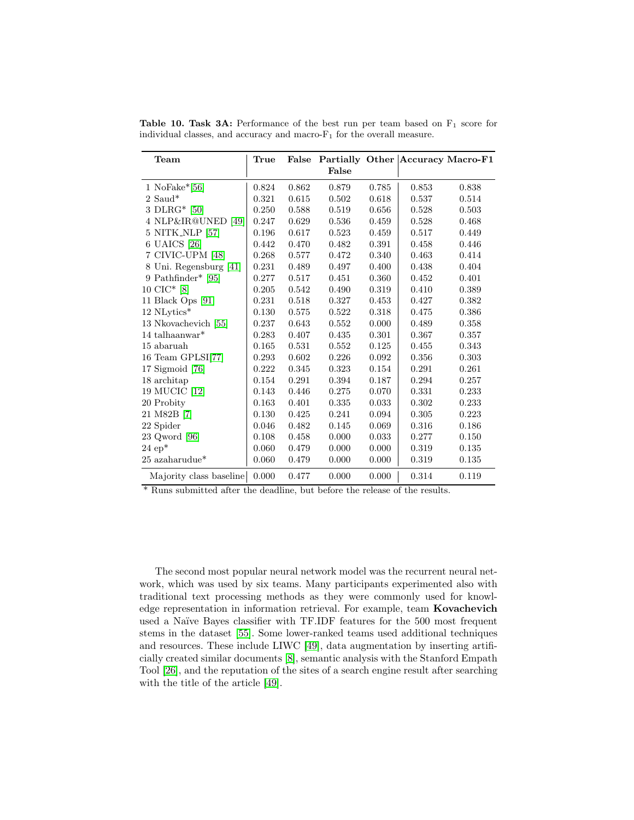<span id="page-14-0"></span>Table 10. Task 3A: Performance of the best run per team based on  $F_1$  score for individual classes, and accuracy and macro- $F_1$  for the overall measure.

| ${\bf Team}$            | True  | False |             |       |       | Partially Other Accuracy Macro-F1 |
|-------------------------|-------|-------|-------------|-------|-------|-----------------------------------|
|                         |       |       | False       |       |       |                                   |
| 1 NoFake $*$ [56]       | 0.824 | 0.862 | 0.879       | 0.785 | 0.853 | 0.838                             |
| $2$ Saud*               | 0.321 | 0.615 | 0.502       | 0.618 | 0.537 | 0.514                             |
| 3 DLRG $*$ [50]         | 0.250 | 0.588 | $\,0.519\,$ | 0.656 | 0.528 | 0.503                             |
| 4 NLP&IR@UNED [49]      | 0.247 | 0.629 | 0.536       | 0.459 | 0.528 | 0.468                             |
| 5 NITK_NLP [57]         | 0.196 | 0.617 | 0.523       | 0.459 | 0.517 | 0.449                             |
| 6 UAICS [26]            | 0.442 | 0.470 | 0.482       | 0.391 | 0.458 | 0.446                             |
| 7 CIVIC-UPM [48]        | 0.268 | 0.577 | 0.472       | 0.340 | 0.463 | 0.414                             |
| 8 Uni. Regensburg [41]  | 0.231 | 0.489 | 0.497       | 0.400 | 0.438 | 0.404                             |
| 9 Pathfinder* [95]      | 0.277 | 0.517 | 0.451       | 0.360 | 0.452 | 0.401                             |
| $10$ CIC* $[8]$         | 0.205 | 0.542 | 0.490       | 0.319 | 0.410 | 0.389                             |
| 11 Black Ops [91]       | 0.231 | 0.518 | 0.327       | 0.453 | 0.427 | 0.382                             |
| 12 NLytics*             | 0.130 | 0.575 | 0.522       | 0.318 | 0.475 | 0.386                             |
| 13 Nkovachevich [55]    | 0.237 | 0.643 | 0.552       | 0.000 | 0.489 | 0.358                             |
| 14 talhaanwar $*$       | 0.283 | 0.407 | 0.435       | 0.301 | 0.367 | 0.357                             |
| 15 abaruah              | 0.165 | 0.531 | 0.552       | 0.125 | 0.455 | 0.343                             |
| 16 Team GPLSI[77]       | 0.293 | 0.602 | 0.226       | 0.092 | 0.356 | 0.303                             |
| 17 Sigmoid [76]         | 0.222 | 0.345 | 0.323       | 0.154 | 0.291 | 0.261                             |
| 18 architap             | 0.154 | 0.291 | 0.394       | 0.187 | 0.294 | 0.257                             |
| 19 MUCIC [12]           | 0.143 | 0.446 | 0.275       | 0.070 | 0.331 | 0.233                             |
| 20 Probity              | 0.163 | 0.401 | 0.335       | 0.033 | 0.302 | 0.233                             |
| 21 M82B [7]             | 0.130 | 0.425 | 0.241       | 0.094 | 0.305 | 0.223                             |
| 22 Spider               | 0.046 | 0.482 | 0.145       | 0.069 | 0.316 | 0.186                             |
| $23$ Qword [96]         | 0.108 | 0.458 | 0.000       | 0.033 | 0.277 | 0.150                             |
| $24ep*$                 | 0.060 | 0.479 | 0.000       | 0.000 | 0.319 | 0.135                             |
| $25$ azaharudue*        | 0.060 | 0.479 | 0.000       | 0.000 | 0.319 | 0.135                             |
| Majority class baseline | 0.000 | 0.477 | 0.000       | 0.000 | 0.314 | 0.119                             |

\* Runs submitted after the deadline, but before the release of the results.

The second most popular neural network model was the recurrent neural network, which was used by six teams. Many participants experimented also with traditional text processing methods as they were commonly used for knowledge representation in information retrieval. For example, team Kovachevich used a Naïve Bayes classifier with TF.IDF features for the 500 most frequent stems in the dataset [\[55\]](#page-20-8). Some lower-ranked teams used additional techniques and resources. These include LIWC [\[49\]](#page-19-8), data augmentation by inserting artificially created similar documents [\[8\]](#page-17-10), semantic analysis with the Stanford Empath Tool [\[26\]](#page-18-8), and the reputation of the sites of a search engine result after searching with the title of the article [\[49\]](#page-19-8).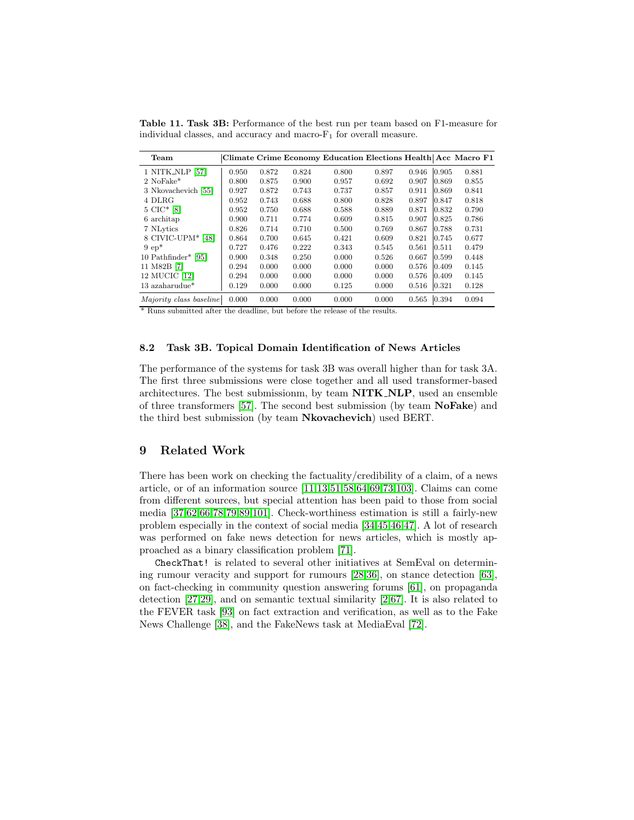<span id="page-15-0"></span>Table 11. Task 3B: Performance of the best run per team based on F1-measure for individual classes, and accuracy and macro- $F_1$  for overall measure.

| Team                    |       |       |       | Climate Crime Economy Education Elections Health Acc Macro F1 |       |       |                 |       |
|-------------------------|-------|-------|-------|---------------------------------------------------------------|-------|-------|-----------------|-------|
| 1 NITK_NLP [57]         | 0.950 | 0.872 | 0.824 | 0.800                                                         | 0.897 | 0.946 | 0.905           | 0.881 |
| 2 NoFake*               | 0.800 | 0.875 | 0.900 | 0.957                                                         | 0.692 | 0.907 | $ 0.869\rangle$ | 0.855 |
| 3 Nkovachevich [55]     | 0.927 | 0.872 | 0.743 | 0.737                                                         | 0.857 | 0.911 | $ 0.869\rangle$ | 0.841 |
| 4 DLRG                  | 0.952 | 0.743 | 0.688 | 0.800                                                         | 0.828 | 0.897 | 0.847           | 0.818 |
| $5$ CIC* [8]            | 0.952 | 0.750 | 0.688 | 0.588                                                         | 0.889 | 0.871 | $ 0.832\rangle$ | 0.790 |
| 6 architap              | 0.900 | 0.711 | 0.774 | 0.609                                                         | 0.815 | 0.907 | 0.825           | 0.786 |
| 7 NLytics               | 0.826 | 0.714 | 0.710 | 0.500                                                         | 0.769 | 0.867 | 0.788           | 0.731 |
| 8 CIVIC-UPM* [48]       | 0.864 | 0.700 | 0.645 | 0.421                                                         | 0.609 | 0.821 | 0.745           | 0.677 |
| $9ep*$                  | 0.727 | 0.476 | 0.222 | 0.343                                                         | 0.545 | 0.561 | 0.511           | 0.479 |
| $10$ Pathfinder* [95]   | 0.900 | 0.348 | 0.250 | 0.000                                                         | 0.526 | 0.667 | $ 0.599\rangle$ | 0.448 |
| 11 M82B [7]             | 0.294 | 0.000 | 0.000 | 0.000                                                         | 0.000 | 0.576 | $ 0.409\rangle$ | 0.145 |
| 12 MUCIC [12]           | 0.294 | 0.000 | 0.000 | 0.000                                                         | 0.000 | 0.576 | $ 0.409\rangle$ | 0.145 |
| $13$ azaharudu $e^*$    | 0.129 | 0.000 | 0.000 | 0.125                                                         | 0.000 | 0.516 | 0.321           | 0.128 |
| Majority class baseline | 0.000 | 0.000 | 0.000 | 0.000                                                         | 0.000 | 0.565 | 0.394           | 0.094 |

\* Runs submitted after the deadline, but before the release of the results.

### 8.2 Task 3B. Topical Domain Identification of News Articles

The performance of the systems for task 3B was overall higher than for task 3A. The first three submissions were close together and all used transformer-based architectures. The best submissionm, by team NITK NLP, used an ensemble of three transformers [\[57\]](#page-20-7). The second best submission (by team NoFake) and the third best submission (by team Nkovachevich) used BERT.

### 9 Related Work

There has been work on checking the factuality/credibility of a claim, of a news article, or of an information source [\[11,](#page-17-12)[13,](#page-17-13)[51,](#page-20-9)[58,](#page-20-10)[64](#page-20-11)[,69,](#page-21-7)[73,](#page-21-8)[103\]](#page-23-5). Claims can come from different sources, but special attention has been paid to those from social media [\[37,](#page-19-12)[62](#page-20-12)[,66,](#page-20-13)[78](#page-21-9)[,79](#page-21-3)[,89,](#page-22-15)[101\]](#page-23-6). Check-worthiness estimation is still a fairly-new problem especially in the context of social media [\[34,](#page-18-0)[45,](#page-19-0)[46](#page-19-13)[,47\]](#page-19-1). A lot of research was performed on fake news detection for news articles, which is mostly approached as a binary classification problem [\[71\]](#page-21-10).

CheckThat! is related to several other initiatives at SemEval on determining rumour veracity and support for rumours [\[28](#page-18-9)[,36\]](#page-19-14), on stance detection [\[63\]](#page-20-14), on fact-checking in community question answering forums [\[61\]](#page-20-15), on propaganda detection [\[27,](#page-18-10)[29\]](#page-18-11), and on semantic textual similarity [\[2,](#page-16-3)[67\]](#page-21-11). It is also related to the FEVER task [\[93\]](#page-22-16) on fact extraction and verification, as well as to the Fake News Challenge [\[38\]](#page-19-15), and the FakeNews task at MediaEval [\[72\]](#page-21-12).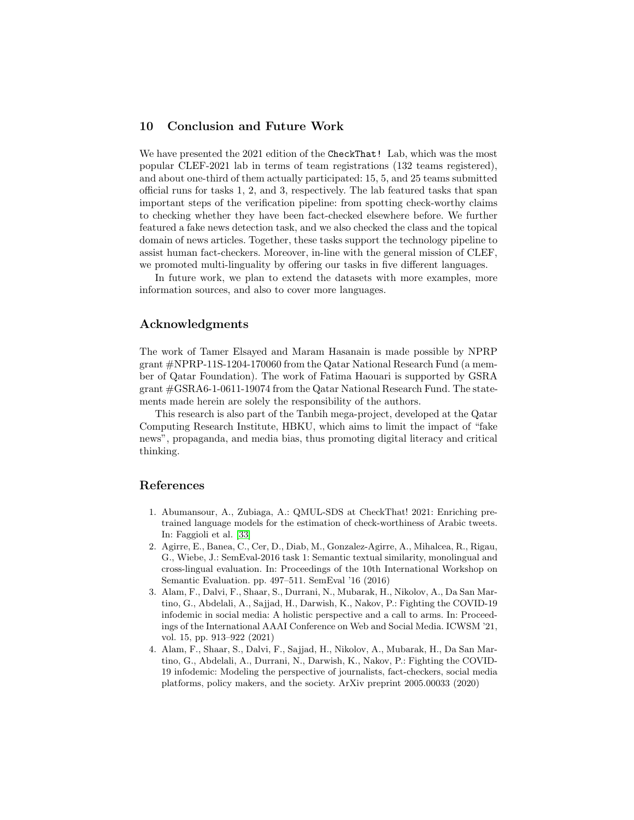# 10 Conclusion and Future Work

We have presented the 2021 edition of the CheckThat! Lab, which was the most popular CLEF-2021 lab in terms of team registrations (132 teams registered), and about one-third of them actually participated: 15, 5, and 25 teams submitted official runs for tasks 1, 2, and 3, respectively. The lab featured tasks that span important steps of the verification pipeline: from spotting check-worthy claims to checking whether they have been fact-checked elsewhere before. We further featured a fake news detection task, and we also checked the class and the topical domain of news articles. Together, these tasks support the technology pipeline to assist human fact-checkers. Moreover, in-line with the general mission of CLEF, we promoted multi-linguality by offering our tasks in five different languages.

In future work, we plan to extend the datasets with more examples, more information sources, and also to cover more languages.

### Acknowledgments

The work of Tamer Elsayed and Maram Hasanain is made possible by NPRP grant #NPRP-11S-1204-170060 from the Qatar National Research Fund (a member of Qatar Foundation). The work of Fatima Haouari is supported by GSRA grant #GSRA6-1-0611-19074 from the Qatar National Research Fund. The statements made herein are solely the responsibility of the authors.

This research is also part of the Tanbih mega-project, developed at the Qatar Computing Research Institute, HBKU, which aims to limit the impact of "fake news", propaganda, and media bias, thus promoting digital literacy and critical thinking.

### References

- <span id="page-16-2"></span>1. Abumansour, A., Zubiaga, A.: QMUL-SDS at CheckThat! 2021: Enriching pretrained language models for the estimation of check-worthiness of Arabic tweets. In: Faggioli et al. [\[33\]](#page-18-12)
- <span id="page-16-3"></span>2. Agirre, E., Banea, C., Cer, D., Diab, M., Gonzalez-Agirre, A., Mihalcea, R., Rigau, G., Wiebe, J.: SemEval-2016 task 1: Semantic textual similarity, monolingual and cross-lingual evaluation. In: Proceedings of the 10th International Workshop on Semantic Evaluation. pp. 497–511. SemEval '16 (2016)
- <span id="page-16-0"></span>3. Alam, F., Dalvi, F., Shaar, S., Durrani, N., Mubarak, H., Nikolov, A., Da San Martino, G., Abdelali, A., Sajjad, H., Darwish, K., Nakov, P.: Fighting the COVID-19 infodemic in social media: A holistic perspective and a call to arms. In: Proceedings of the International AAAI Conference on Web and Social Media. ICWSM '21, vol. 15, pp. 913–922 (2021)
- <span id="page-16-1"></span>4. Alam, F., Shaar, S., Dalvi, F., Sajjad, H., Nikolov, A., Mubarak, H., Da San Martino, G., Abdelali, A., Durrani, N., Darwish, K., Nakov, P.: Fighting the COVID-19 infodemic: Modeling the perspective of journalists, fact-checkers, social media platforms, policy makers, and the society. ArXiv preprint 2005.00033 (2020)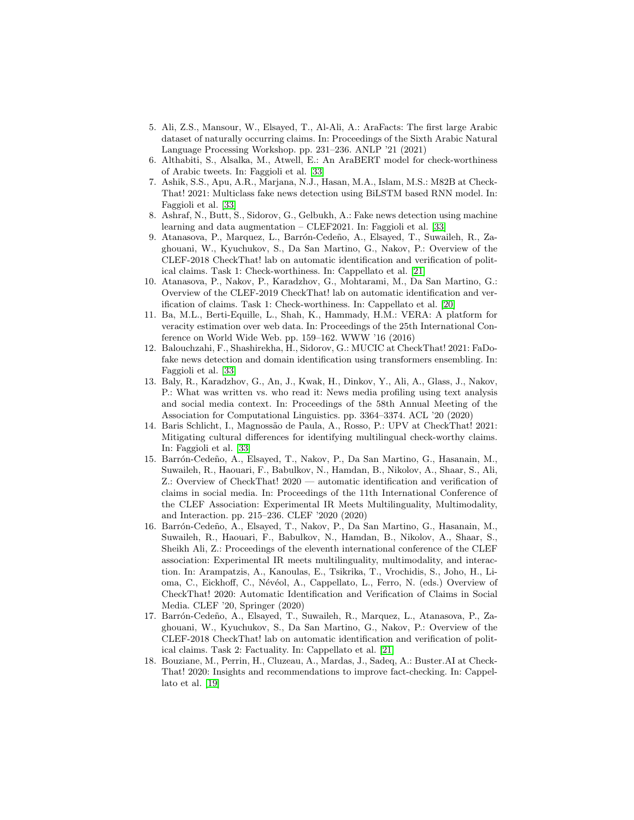- <span id="page-17-6"></span>5. Ali, Z.S., Mansour, W., Elsayed, T., Al-Ali, A.: AraFacts: The first large Arabic dataset of naturally occurring claims. In: Proceedings of the Sixth Arabic Natural Language Processing Workshop. pp. 231–236. ANLP '21 (2021)
- <span id="page-17-7"></span>6. Althabiti, S., Alsalka, M., Atwell, E.: An AraBERT model for check-worthiness of Arabic tweets. In: Faggioli et al. [\[33\]](#page-18-12)
- <span id="page-17-11"></span>7. Ashik, S.S., Apu, A.R., Marjana, N.J., Hasan, M.A., Islam, M.S.: M82B at Check-That! 2021: Multiclass fake news detection using BiLSTM based RNN model. In: Faggioli et al. [\[33\]](#page-18-12)
- <span id="page-17-10"></span>8. Ashraf, N., Butt, S., Sidorov, G., Gelbukh, A.: Fake news detection using machine learning and data augmentation – CLEF2021. In: Faggioli et al. [\[33\]](#page-18-12)
- <span id="page-17-3"></span>9. Atanasova, P., Marquez, L., Barrón-Cedeño, A., Elsayed, T., Suwaileh, R., Zaghouani, W., Kyuchukov, S., Da San Martino, G., Nakov, P.: Overview of the CLEF-2018 CheckThat! lab on automatic identification and verification of political claims. Task 1: Check-worthiness. In: Cappellato et al. [\[21\]](#page-18-13)
- <span id="page-17-2"></span>10. Atanasova, P., Nakov, P., Karadzhov, G., Mohtarami, M., Da San Martino, G.: Overview of the CLEF-2019 CheckThat! lab on automatic identification and verification of claims. Task 1: Check-worthiness. In: Cappellato et al. [\[20\]](#page-18-14)
- <span id="page-17-12"></span>11. Ba, M.L., Berti-Equille, L., Shah, K., Hammady, H.M.: VERA: A platform for veracity estimation over web data. In: Proceedings of the 25th International Conference on World Wide Web. pp. 159–162. WWW '16 (2016)
- <span id="page-17-9"></span>12. Balouchzahi, F., Shashirekha, H., Sidorov, G.: MUCIC at CheckThat! 2021: FaDofake news detection and domain identification using transformers ensembling. In: Faggioli et al. [\[33\]](#page-18-12)
- <span id="page-17-13"></span>13. Baly, R., Karadzhov, G., An, J., Kwak, H., Dinkov, Y., Ali, A., Glass, J., Nakov, P.: What was written vs. who read it: News media profiling using text analysis and social media context. In: Proceedings of the 58th Annual Meeting of the Association for Computational Linguistics. pp. 3364–3374. ACL '20 (2020)
- <span id="page-17-8"></span>14. Baris Schlicht, I., Magnoss˜ao de Paula, A., Rosso, P.: UPV at CheckThat! 2021: Mitigating cultural differences for identifying multilingual check-worthy claims. In: Faggioli et al. [\[33\]](#page-18-12)
- <span id="page-17-0"></span>15. Barrón-Cedeño, A., Elsayed, T., Nakov, P., Da San Martino, G., Hasanain, M., Suwaileh, R., Haouari, F., Babulkov, N., Hamdan, B., Nikolov, A., Shaar, S., Ali, Z.: Overview of CheckThat! 2020 — automatic identification and verification of claims in social media. In: Proceedings of the 11th International Conference of the CLEF Association: Experimental IR Meets Multilinguality, Multimodality, and Interaction. pp. 215–236. CLEF '2020 (2020)
- <span id="page-17-5"></span>16. Barrón-Cedeño, A., Elsayed, T., Nakov, P., Da San Martino, G., Hasanain, M., Suwaileh, R., Haouari, F., Babulkov, N., Hamdan, B., Nikolov, A., Shaar, S., Sheikh Ali, Z.: Proceedings of the eleventh international conference of the CLEF association: Experimental IR meets multilinguality, multimodality, and interaction. In: Arampatzis, A., Kanoulas, E., Tsikrika, T., Vrochidis, S., Joho, H., Lioma, C., Eickhoff, C., Névéol, A., Cappellato, L., Ferro, N. (eds.) Overview of CheckThat! 2020: Automatic Identification and Verification of Claims in Social Media. CLEF '20, Springer (2020)
- <span id="page-17-4"></span>17. Barrón-Cedeño, A., Elsayed, T., Suwaileh, R., Marquez, L., Atanasova, P., Zaghouani, W., Kyuchukov, S., Da San Martino, G., Nakov, P.: Overview of the CLEF-2018 CheckThat! lab on automatic identification and verification of political claims. Task 2: Factuality. In: Cappellato et al. [\[21\]](#page-18-13)
- <span id="page-17-1"></span>18. Bouziane, M., Perrin, H., Cluzeau, A., Mardas, J., Sadeq, A.: Buster.AI at Check-That! 2020: Insights and recommendations to improve fact-checking. In: Cappellato et al. [\[19\]](#page-18-15)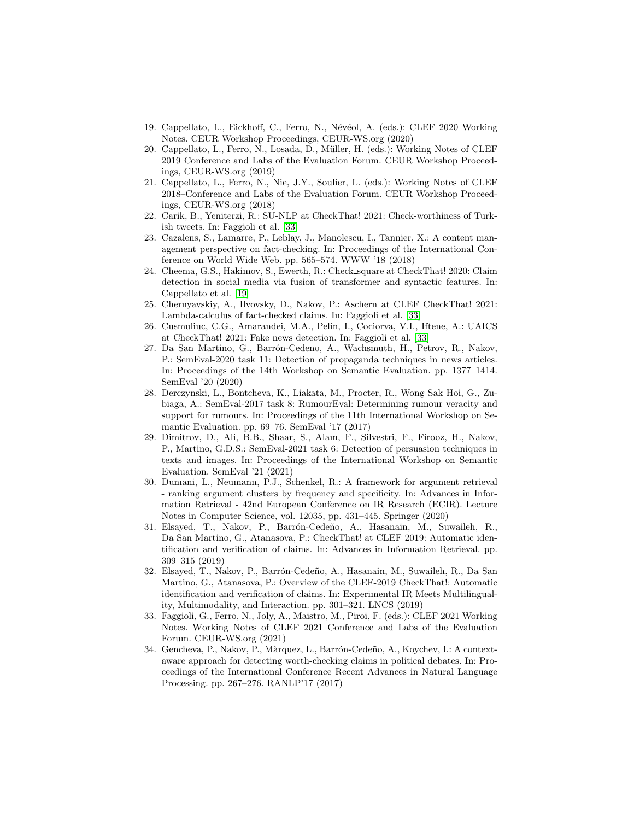- <span id="page-18-15"></span>19. Cappellato, L., Eickhoff, C., Ferro, N., Névéol, A. (eds.): CLEF 2020 Working Notes. CEUR Workshop Proceedings, CEUR-WS.org (2020)
- <span id="page-18-14"></span>20. Cappellato, L., Ferro, N., Losada, D., M¨uller, H. (eds.): Working Notes of CLEF 2019 Conference and Labs of the Evaluation Forum. CEUR Workshop Proceedings, CEUR-WS.org (2019)
- <span id="page-18-13"></span>21. Cappellato, L., Ferro, N., Nie, J.Y., Soulier, L. (eds.): Working Notes of CLEF 2018–Conference and Labs of the Evaluation Forum. CEUR Workshop Proceedings, CEUR-WS.org (2018)
- <span id="page-18-5"></span>22. Carik, B., Yeniterzi, R.: SU-NLP at CheckThat! 2021: Check-worthiness of Turkish tweets. In: Faggioli et al. [\[33\]](#page-18-12)
- <span id="page-18-3"></span>23. Cazalens, S., Lamarre, P., Leblay, J., Manolescu, I., Tannier, X.: A content management perspective on fact-checking. In: Proceedings of the International Conference on World Wide Web. pp. 565–574. WWW '18 (2018)
- <span id="page-18-4"></span>24. Cheema, G.S., Hakimov, S., Ewerth, R.: Check square at CheckThat! 2020: Claim detection in social media via fusion of transformer and syntactic features. In: Cappellato et al. [\[19\]](#page-18-15)
- <span id="page-18-6"></span>25. Chernyavskiy, A., Ilvovsky, D., Nakov, P.: Aschern at CLEF CheckThat! 2021: Lambda-calculus of fact-checked claims. In: Faggioli et al. [\[33\]](#page-18-12)
- <span id="page-18-8"></span>26. Cusmuliuc, C.G., Amarandei, M.A., Pelin, I., Cociorva, V.I., Iftene, A.: UAICS at CheckThat! 2021: Fake news detection. In: Faggioli et al. [\[33\]](#page-18-12)
- <span id="page-18-10"></span>27. Da San Martino, G., Barrón-Cedeno, A., Wachsmuth, H., Petrov, R., Nakov, P.: SemEval-2020 task 11: Detection of propaganda techniques in news articles. In: Proceedings of the 14th Workshop on Semantic Evaluation. pp. 1377–1414. SemEval '20 (2020)
- <span id="page-18-9"></span>28. Derczynski, L., Bontcheva, K., Liakata, M., Procter, R., Wong Sak Hoi, G., Zubiaga, A.: SemEval-2017 task 8: RumourEval: Determining rumour veracity and support for rumours. In: Proceedings of the 11th International Workshop on Semantic Evaluation. pp. 69–76. SemEval '17 (2017)
- <span id="page-18-11"></span>29. Dimitrov, D., Ali, B.B., Shaar, S., Alam, F., Silvestri, F., Firooz, H., Nakov, P., Martino, G.D.S.: SemEval-2021 task 6: Detection of persuasion techniques in texts and images. In: Proceedings of the International Workshop on Semantic Evaluation. SemEval '21 (2021)
- <span id="page-18-7"></span>30. Dumani, L., Neumann, P.J., Schenkel, R.: A framework for argument retrieval - ranking argument clusters by frequency and specificity. In: Advances in Information Retrieval - 42nd European Conference on IR Research (ECIR). Lecture Notes in Computer Science, vol. 12035, pp. 431–445. Springer (2020)
- <span id="page-18-1"></span>31. Elsayed, T., Nakov, P., Barrón-Cedeño, A., Hasanain, M., Suwaileh, R., Da San Martino, G., Atanasova, P.: CheckThat! at CLEF 2019: Automatic identification and verification of claims. In: Advances in Information Retrieval. pp. 309–315 (2019)
- <span id="page-18-2"></span>32. Elsayed, T., Nakov, P., Barrón-Cedeño, A., Hasanain, M., Suwaileh, R., Da San Martino, G., Atanasova, P.: Overview of the CLEF-2019 CheckThat!: Automatic identification and verification of claims. In: Experimental IR Meets Multilinguality, Multimodality, and Interaction. pp. 301–321. LNCS (2019)
- <span id="page-18-12"></span>33. Faggioli, G., Ferro, N., Joly, A., Maistro, M., Piroi, F. (eds.): CLEF 2021 Working Notes. Working Notes of CLEF 2021–Conference and Labs of the Evaluation Forum. CEUR-WS.org (2021)
- <span id="page-18-0"></span>34. Gencheva, P., Nakov, P., Màrquez, L., Barrón-Cedeño, A., Koychev, I.: A contextaware approach for detecting worth-checking claims in political debates. In: Proceedings of the International Conference Recent Advances in Natural Language Processing. pp. 267–276. RANLP'17 (2017)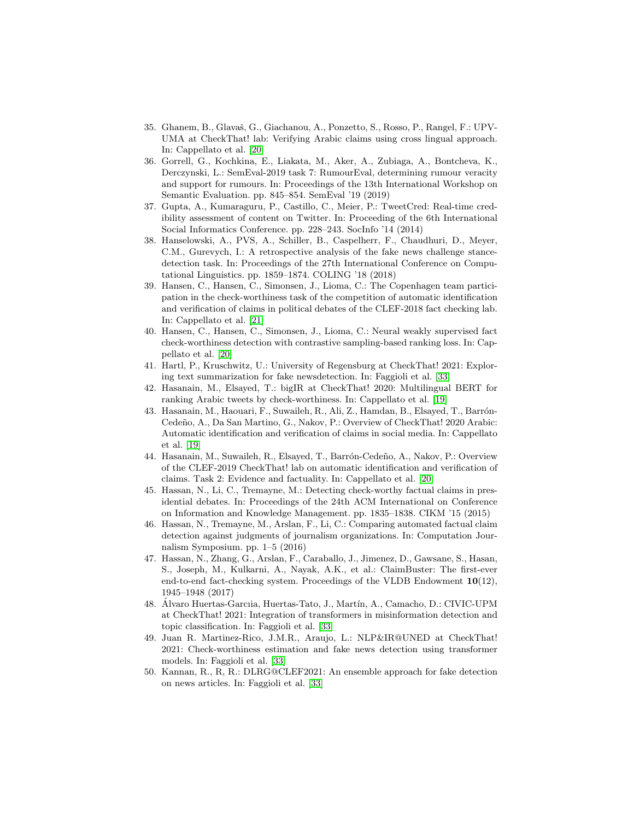- <span id="page-19-6"></span>35. Ghanem, B., Glavaš, G., Giachanou, A., Ponzetto, S., Rosso, P., Rangel, F.: UPV-UMA at CheckThat! lab: Verifying Arabic claims using cross lingual approach. In: Cappellato et al. [\[20\]](#page-18-14)
- <span id="page-19-14"></span>36. Gorrell, G., Kochkina, E., Liakata, M., Aker, A., Zubiaga, A., Bontcheva, K., Derczynski, L.: SemEval-2019 task 7: RumourEval, determining rumour veracity and support for rumours. In: Proceedings of the 13th International Workshop on Semantic Evaluation. pp. 845–854. SemEval '19 (2019)
- <span id="page-19-12"></span>37. Gupta, A., Kumaraguru, P., Castillo, C., Meier, P.: TweetCred: Real-time credibility assessment of content on Twitter. In: Proceeding of the 6th International Social Informatics Conference. pp. 228–243. SocInfo '14 (2014)
- <span id="page-19-15"></span>38. Hanselowski, A., PVS, A., Schiller, B., Caspelherr, F., Chaudhuri, D., Meyer, C.M., Gurevych, I.: A retrospective analysis of the fake news challenge stancedetection task. In: Proceedings of the 27th International Conference on Computational Linguistics. pp. 1859–1874. COLING '18 (2018)
- <span id="page-19-7"></span>39. Hansen, C., Hansen, C., Simonsen, J., Lioma, C.: The Copenhagen team participation in the check-worthiness task of the competition of automatic identification and verification of claims in political debates of the CLEF-2018 fact checking lab. In: Cappellato et al. [\[21\]](#page-18-13)
- <span id="page-19-4"></span>40. Hansen, C., Hansen, C., Simonsen, J., Lioma, C.: Neural weakly supervised fact check-worthiness detection with contrastive sampling-based ranking loss. In: Cappellato et al. [\[20\]](#page-18-14)
- <span id="page-19-11"></span>41. Hartl, P., Kruschwitz, U.: University of Regensburg at CheckThat! 2021: Exploring text summarization for fake newsdetection. In: Faggioli et al. [\[33\]](#page-18-12)
- <span id="page-19-3"></span>42. Hasanain, M., Elsayed, T.: bigIR at CheckThat! 2020: Multilingual BERT for ranking Arabic tweets by check-worthiness. In: Cappellato et al. [\[19\]](#page-18-15)
- <span id="page-19-2"></span>43. Hasanain, M., Haouari, F., Suwaileh, R., Ali, Z., Hamdan, B., Elsayed, T., Barrón-Cedeño, A., Da San Martino, G., Nakov, P.: Overview of CheckThat! 2020 Arabic: Automatic identification and verification of claims in social media. In: Cappellato et al. [\[19\]](#page-18-15)
- <span id="page-19-5"></span>44. Hasanain, M., Suwaileh, R., Elsayed, T., Barrón-Cedeño, A., Nakov, P.: Overview of the CLEF-2019 CheckThat! lab on automatic identification and verification of claims. Task 2: Evidence and factuality. In: Cappellato et al. [\[20\]](#page-18-14)
- <span id="page-19-0"></span>45. Hassan, N., Li, C., Tremayne, M.: Detecting check-worthy factual claims in presidential debates. In: Proceedings of the 24th ACM International on Conference on Information and Knowledge Management. pp. 1835–1838. CIKM '15 (2015)
- <span id="page-19-13"></span>46. Hassan, N., Tremayne, M., Arslan, F., Li, C.: Comparing automated factual claim detection against judgments of journalism organizations. In: Computation Journalism Symposium. pp. 1–5 (2016)
- <span id="page-19-1"></span>47. Hassan, N., Zhang, G., Arslan, F., Caraballo, J., Jimenez, D., Gawsane, S., Hasan, S., Joseph, M., Kulkarni, A., Nayak, A.K., et al.: ClaimBuster: The first-ever end-to-end fact-checking system. Proceedings of the VLDB Endowment  $10(12)$ , 1945–1948 (2017)
- <span id="page-19-10"></span>48. Alvaro Huertas-Garciia, Huertas-Tato, J., Martín, A., Camacho, D.: CIVIC-UPM at CheckThat! 2021: Integration of transformers in misinformation detection and topic classification. In: Faggioli et al. [\[33\]](#page-18-12)
- <span id="page-19-8"></span>49. Juan R. Martinez-Rico, J.M.R., Araujo, L.: NLP&IR@UNED at CheckThat! 2021: Check-worthiness estimation and fake news detection using transformer models. In: Faggioli et al. [\[33\]](#page-18-12)
- <span id="page-19-9"></span>50. Kannan, R., R, R.: DLRG@CLEF2021: An ensemble approach for fake detection on news articles. In: Faggioli et al. [\[33\]](#page-18-12)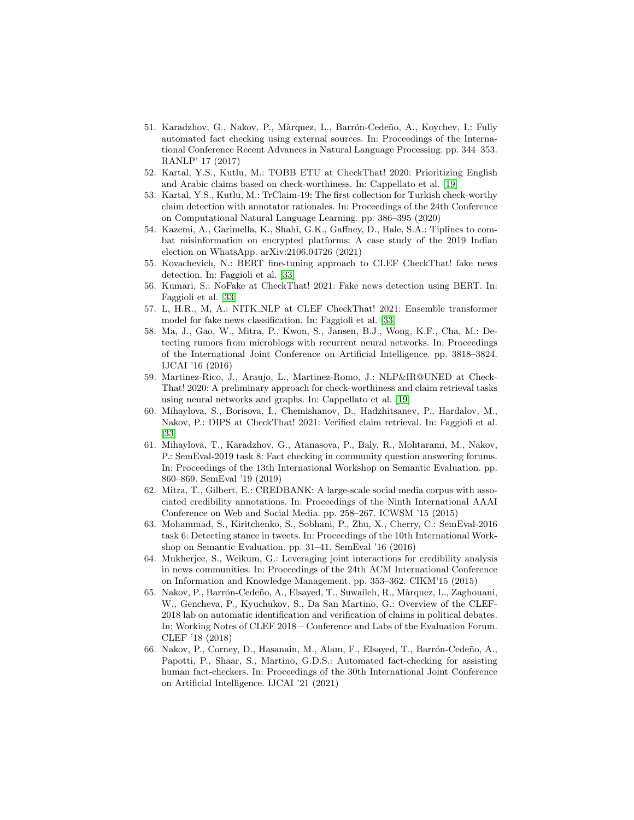- <span id="page-20-9"></span>51. Karadzhov, G., Nakov, P., Màrquez, L., Barrón-Cedeño, A., Koychev, I.: Fully automated fact checking using external sources. In: Proceedings of the International Conference Recent Advances in Natural Language Processing. pp. 344–353. RANLP' 17 (2017)
- <span id="page-20-2"></span>52. Kartal, Y.S., Kutlu, M.: TOBB ETU at CheckThat! 2020: Prioritizing English and Arabic claims based on check-worthiness. In: Cappellato et al. [\[19\]](#page-18-15)
- <span id="page-20-4"></span>53. Kartal, Y.S., Kutlu, M.: TrClaim-19: The first collection for Turkish check-worthy claim detection with annotator rationales. In: Proceedings of the 24th Conference on Computational Natural Language Learning. pp. 386–395 (2020)
- <span id="page-20-0"></span>54. Kazemi, A., Garimella, K., Shahi, G.K., Gaffney, D., Hale, S.A.: Tiplines to combat misinformation on encrypted platforms: A case study of the 2019 Indian election on WhatsApp. arXiv:2106.04726 (2021)
- <span id="page-20-8"></span>55. Kovachevich, N.: BERT fine-tuning approach to CLEF CheckThat! fake news detection. In: Faggioli et al. [\[33\]](#page-18-12)
- <span id="page-20-6"></span>56. Kumari, S.: NoFake at CheckThat! 2021: Fake news detection using BERT. In: Faggioli et al. [\[33\]](#page-18-12)
- <span id="page-20-7"></span>57. L, H.R., M, A.: NITK NLP at CLEF CheckThat! 2021: Ensemble transformer model for fake news classification. In: Faggioli et al. [\[33\]](#page-18-12)
- <span id="page-20-10"></span>58. Ma, J., Gao, W., Mitra, P., Kwon, S., Jansen, B.J., Wong, K.F., Cha, M.: Detecting rumors from microblogs with recurrent neural networks. In: Proceedings of the International Joint Conference on Artificial Intelligence. pp. 3818–3824. IJCAI '16 (2016)
- <span id="page-20-3"></span>59. Martinez-Rico, J., Araujo, L., Martinez-Romo, J.: NLP&IR@UNED at Check-That! 2020: A preliminary approach for check-worthiness and claim retrieval tasks using neural networks and graphs. In: Cappellato et al. [\[19\]](#page-18-15)
- <span id="page-20-5"></span>60. Mihaylova, S., Borisova, I., Chemishanov, D., Hadzhitsanev, P., Hardalov, M., Nakov, P.: DIPS at CheckThat! 2021: Verified claim retrieval. In: Faggioli et al. [\[33\]](#page-18-12)
- <span id="page-20-15"></span>61. Mihaylova, T., Karadzhov, G., Atanasova, P., Baly, R., Mohtarami, M., Nakov, P.: SemEval-2019 task 8: Fact checking in community question answering forums. In: Proceedings of the 13th International Workshop on Semantic Evaluation. pp. 860–869. SemEval '19 (2019)
- <span id="page-20-12"></span>62. Mitra, T., Gilbert, E.: CREDBANK: A large-scale social media corpus with associated credibility annotations. In: Proceedings of the Ninth International AAAI Conference on Web and Social Media. pp. 258–267. ICWSM '15 (2015)
- <span id="page-20-14"></span>63. Mohammad, S., Kiritchenko, S., Sobhani, P., Zhu, X., Cherry, C.: SemEval-2016 task 6: Detecting stance in tweets. In: Proceedings of the 10th International Workshop on Semantic Evaluation. pp. 31–41. SemEval '16 (2016)
- <span id="page-20-11"></span>64. Mukherjee, S., Weikum, G.: Leveraging joint interactions for credibility analysis in news communities. In: Proceedings of the 24th ACM International Conference on Information and Knowledge Management. pp. 353–362. CIKM'15 (2015)
- <span id="page-20-1"></span>65. Nakov, P., Barrón-Cedeño, A., Elsayed, T., Suwaileh, R., Màrquez, L., Zaghouani, W., Gencheva, P., Kyuchukov, S., Da San Martino, G.: Overview of the CLEF-2018 lab on automatic identification and verification of claims in political debates. In: Working Notes of CLEF 2018 – Conference and Labs of the Evaluation Forum. CLEF '18 (2018)
- <span id="page-20-13"></span>66. Nakov, P., Corney, D., Hasanain, M., Alam, F., Elsayed, T., Barrón-Cedeño, A., Papotti, P., Shaar, S., Martino, G.D.S.: Automated fact-checking for assisting human fact-checkers. In: Proceedings of the 30th International Joint Conference on Artificial Intelligence. IJCAI '21 (2021)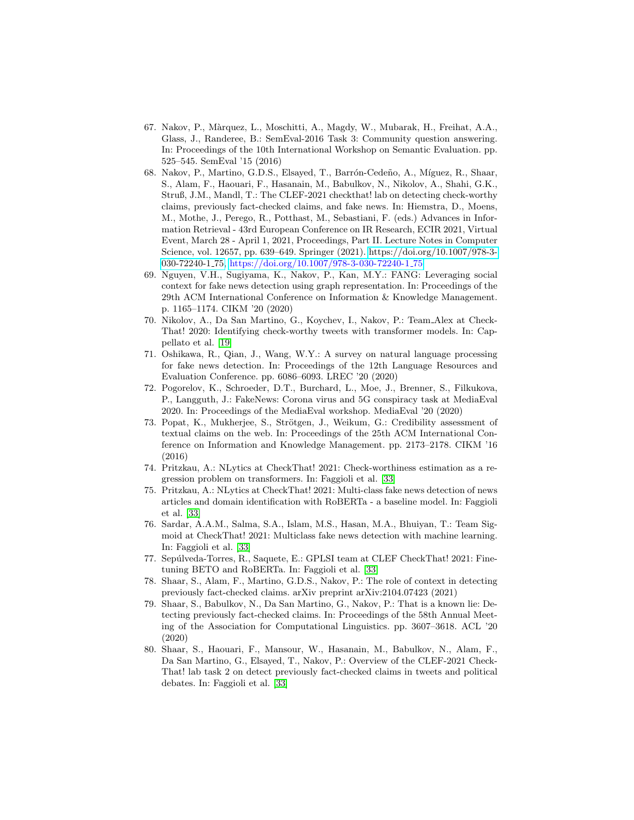- <span id="page-21-11"></span>67. Nakov, P., M`arquez, L., Moschitti, A., Magdy, W., Mubarak, H., Freihat, A.A., Glass, J., Randeree, B.: SemEval-2016 Task 3: Community question answering. In: Proceedings of the 10th International Workshop on Semantic Evaluation. pp. 525–545. SemEval '15 (2016)
- <span id="page-21-0"></span>68. Nakov, P., Martino, G.D.S., Elsayed, T., Barrón-Cedeño, A., Míguez, R., Shaar, S., Alam, F., Haouari, F., Hasanain, M., Babulkov, N., Nikolov, A., Shahi, G.K., Struß, J.M., Mandl, T.: The CLEF-2021 checkthat! lab on detecting check-worthy claims, previously fact-checked claims, and fake news. In: Hiemstra, D., Moens, M., Mothe, J., Perego, R., Potthast, M., Sebastiani, F. (eds.) Advances in Information Retrieval - 43rd European Conference on IR Research, ECIR 2021, Virtual Event, March 28 - April 1, 2021, Proceedings, Part II. Lecture Notes in Computer Science, vol. 12657, pp. 639–649. Springer (2021). [https://doi.org/10.1007/978-3-](https://doi.org/10.1007/978-3-030-72240-1_75) [030-72240-1](https://doi.org/10.1007/978-3-030-72240-1_75) 75, [https://doi.org/10.1007/978-3-030-72240-1](https://doi.org/10.1007/978-3-030-72240-1_75) 75
- <span id="page-21-7"></span>69. Nguyen, V.H., Sugiyama, K., Nakov, P., Kan, M.Y.: FANG: Leveraging social context for fake news detection using graph representation. In: Proceedings of the 29th ACM International Conference on Information & Knowledge Management. p. 1165–1174. CIKM '20 (2020)
- <span id="page-21-1"></span>70. Nikolov, A., Da San Martino, G., Koychev, I., Nakov, P.: Team Alex at Check-That! 2020: Identifying check-worthy tweets with transformer models. In: Cappellato et al. [\[19\]](#page-18-15)
- <span id="page-21-10"></span>71. Oshikawa, R., Qian, J., Wang, W.Y.: A survey on natural language processing for fake news detection. In: Proceedings of the 12th Language Resources and Evaluation Conference. pp. 6086–6093. LREC '20 (2020)
- <span id="page-21-12"></span>72. Pogorelov, K., Schroeder, D.T., Burchard, L., Moe, J., Brenner, S., Filkukova, P., Langguth, J.: FakeNews: Corona virus and 5G conspiracy task at MediaEval 2020. In: Proceedings of the MediaEval workshop. MediaEval '20 (2020)
- <span id="page-21-8"></span>73. Popat, K., Mukherjee, S., Strötgen, J., Weikum, G.: Credibility assessment of textual claims on the web. In: Proceedings of the 25th ACM International Conference on Information and Knowledge Management. pp. 2173–2178. CIKM '16 (2016)
- <span id="page-21-13"></span>74. Pritzkau, A.: NLytics at CheckThat! 2021: Check-worthiness estimation as a regression problem on transformers. In: Faggioli et al. [\[33\]](#page-18-12)
- <span id="page-21-5"></span>75. Pritzkau, A.: NLytics at CheckThat! 2021: Multi-class fake news detection of news articles and domain identification with RoBERTa - a baseline model. In: Faggioli et al. [\[33\]](#page-18-12)
- <span id="page-21-6"></span>76. Sardar, A.A.M., Salma, S.A., Islam, M.S., Hasan, M.A., Bhuiyan, T.: Team Sigmoid at CheckThat! 2021: Multiclass fake news detection with machine learning. In: Faggioli et al. [\[33\]](#page-18-12)
- <span id="page-21-4"></span>77. Sepúlveda-Torres, R., Saquete, E.: GPLSI team at CLEF CheckThat! 2021: Finetuning BETO and RoBERTa. In: Faggioli et al. [\[33\]](#page-18-12)
- <span id="page-21-9"></span>78. Shaar, S., Alam, F., Martino, G.D.S., Nakov, P.: The role of context in detecting previously fact-checked claims. arXiv preprint arXiv:2104.07423 (2021)
- <span id="page-21-3"></span>79. Shaar, S., Babulkov, N., Da San Martino, G., Nakov, P.: That is a known lie: Detecting previously fact-checked claims. In: Proceedings of the 58th Annual Meeting of the Association for Computational Linguistics. pp. 3607–3618. ACL '20 (2020)
- <span id="page-21-2"></span>80. Shaar, S., Haouari, F., Mansour, W., Hasanain, M., Babulkov, N., Alam, F., Da San Martino, G., Elsayed, T., Nakov, P.: Overview of the CLEF-2021 Check-That! lab task 2 on detect previously fact-checked claims in tweets and political debates. In: Faggioli et al. [\[33\]](#page-18-12)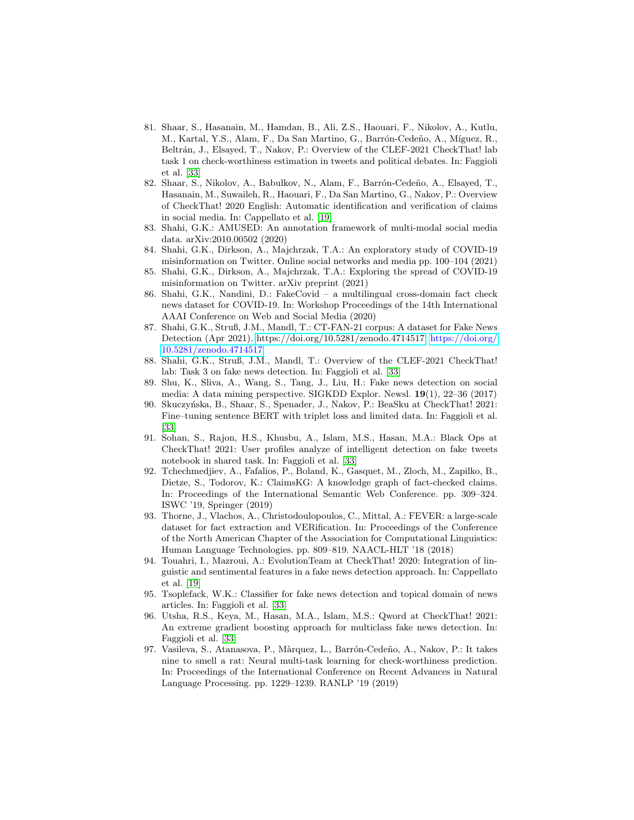- <span id="page-22-4"></span>81. Shaar, S., Hasanain, M., Hamdan, B., Ali, Z.S., Haouari, F., Nikolov, A., Kutlu, M., Kartal, Y.S., Alam, F., Da San Martino, G., Barrón-Cedeño, A., Míguez, R., Beltrán, J., Elsayed, T., Nakov, P.: Overview of the CLEF-2021 CheckThat! lab task 1 on check-worthiness estimation in tweets and political debates. In: Faggioli et al. [\[33\]](#page-18-12)
- <span id="page-22-1"></span>82. Shaar, S., Nikolov, A., Babulkov, N., Alam, F., Barrón-Cedeño, A., Elsayed, T., Hasanain, M., Suwaileh, R., Haouari, F., Da San Martino, G., Nakov, P.: Overview of CheckThat! 2020 English: Automatic identification and verification of claims in social media. In: Cappellato et al. [\[19\]](#page-18-15)
- <span id="page-22-7"></span>83. Shahi, G.K.: AMUSED: An annotation framework of multi-modal social media data. arXiv:2010.00502 (2020)
- <span id="page-22-8"></span>84. Shahi, G.K., Dirkson, A., Majchrzak, T.A.: An exploratory study of COVID-19 misinformation on Twitter. Online social networks and media pp. 100–104 (2021)
- <span id="page-22-9"></span>85. Shahi, G.K., Dirkson, A., Majchrzak, T.A.: Exploring the spread of COVID-19 misinformation on Twitter. arXiv preprint (2021)
- <span id="page-22-3"></span>86. Shahi, G.K., Nandini, D.: FakeCovid – a multilingual cross-domain fact check news dataset for COVID-19. In: Workshop Proceedings of the 14th International AAAI Conference on Web and Social Media (2020)
- <span id="page-22-10"></span>87. Shahi, G.K., Struß, J.M., Mandl, T.: CT-FAN-21 corpus: A dataset for Fake News Detection (Apr 2021). [https://doi.org/10.5281/zenodo.4714517,](https://doi.org/10.5281/zenodo.4714517) [https://doi.org/](https://doi.org/10.5281/zenodo.4714517) [10.5281/zenodo.4714517](https://doi.org/10.5281/zenodo.4714517)
- <span id="page-22-5"></span>88. Shahi, G.K., Struß, J.M., Mandl, T.: Overview of the CLEF-2021 CheckThat! lab: Task 3 on fake news detection. In: Faggioli et al. [\[33\]](#page-18-12)
- <span id="page-22-15"></span>89. Shu, K., Sliva, A., Wang, S., Tang, J., Liu, H.: Fake news detection on social media: A data mining perspective. SIGKDD Explor. Newsl. 19(1), 22–36 (2017)
- <span id="page-22-11"></span>90. Skuczyńska, B., Shaar, S., Spenader, J., Nakov, P.: BeaSku at CheckThat! 2021: Fine–tuning sentence BERT with triplet loss and limited data. In: Faggioli et al. [\[33\]](#page-18-12)
- <span id="page-22-13"></span>91. Sohan, S., Rajon, H.S., Khusbu, A., Islam, M.S., Hasan, M.A.: Black Ops at CheckThat! 2021: User profiles analyze of intelligent detection on fake tweets notebook in shared task. In: Faggioli et al. [\[33\]](#page-18-12)
- <span id="page-22-6"></span>92. Tchechmedjiev, A., Fafalios, P., Boland, K., Gasquet, M., Zloch, M., Zapilko, B., Dietze, S., Todorov, K.: ClaimsKG: A knowledge graph of fact-checked claims. In: Proceedings of the International Semantic Web Conference. pp. 309–324. ISWC '19, Springer (2019)
- <span id="page-22-16"></span>93. Thorne, J., Vlachos, A., Christodoulopoulos, C., Mittal, A.: FEVER: a large-scale dataset for fact extraction and VERification. In: Proceedings of the Conference of the North American Chapter of the Association for Computational Linguistics: Human Language Technologies. pp. 809–819. NAACL-HLT '18 (2018)
- <span id="page-22-2"></span>94. Touahri, I., Mazroui, A.: EvolutionTeam at CheckThat! 2020: Integration of linguistic and sentimental features in a fake news detection approach. In: Cappellato et al. [\[19\]](#page-18-15)
- <span id="page-22-12"></span>95. Tsoplefack, W.K.: Classifier for fake news detection and topical domain of news articles. In: Faggioli et al. [\[33\]](#page-18-12)
- <span id="page-22-14"></span>96. Utsha, R.S., Keya, M., Hasan, M.A., Islam, M.S.: Qword at CheckThat! 2021: An extreme gradient boosting approach for multiclass fake news detection. In: Faggioli et al. [\[33\]](#page-18-12)
- <span id="page-22-0"></span>97. Vasileva, S., Atanasova, P., Màrquez, L., Barrón-Cedeño, A., Nakov, P.: It takes nine to smell a rat: Neural multi-task learning for check-worthiness prediction. In: Proceedings of the International Conference on Recent Advances in Natural Language Processing. pp. 1229–1239. RANLP '19 (2019)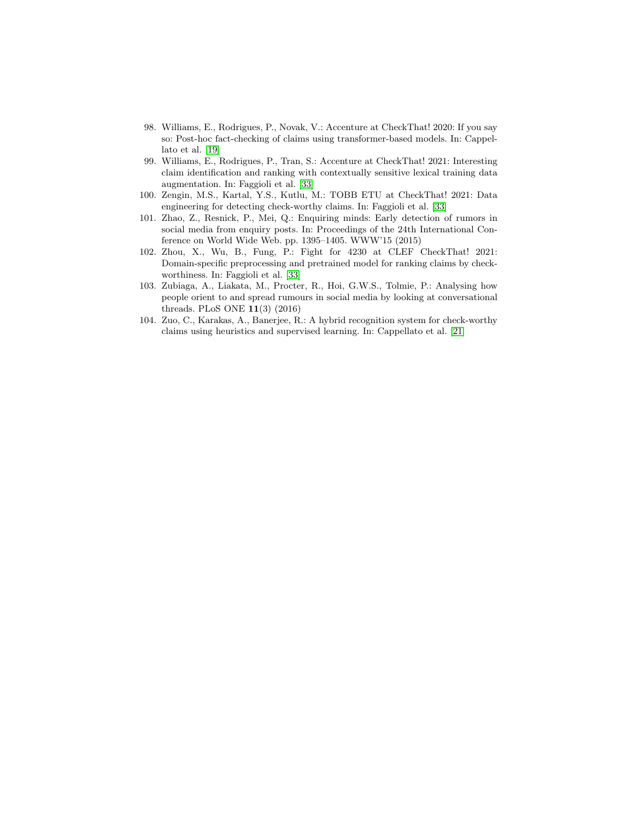- <span id="page-23-0"></span>98. Williams, E., Rodrigues, P., Novak, V.: Accenture at CheckThat! 2020: If you say so: Post-hoc fact-checking of claims using transformer-based models. In: Cappellato et al. [\[19\]](#page-18-15)
- <span id="page-23-2"></span>99. Williams, E., Rodrigues, P., Tran, S.: Accenture at CheckThat! 2021: Interesting claim identification and ranking with contextually sensitive lexical training data augmentation. In: Faggioli et al. [\[33\]](#page-18-12)
- <span id="page-23-3"></span>100. Zengin, M.S., Kartal, Y.S., Kutlu, M.: TOBB ETU at CheckThat! 2021: Data engineering for detecting check-worthy claims. In: Faggioli et al. [\[33\]](#page-18-12)
- <span id="page-23-6"></span>101. Zhao, Z., Resnick, P., Mei, Q.: Enquiring minds: Early detection of rumors in social media from enquiry posts. In: Proceedings of the 24th International Conference on World Wide Web. pp. 1395–1405. WWW'15 (2015)
- <span id="page-23-4"></span>102. Zhou, X., Wu, B., Fung, P.: Fight for 4230 at CLEF CheckThat! 2021: Domain-specific preprocessing and pretrained model for ranking claims by checkworthiness. In: Faggioli et al. [\[33\]](#page-18-12)
- <span id="page-23-5"></span>103. Zubiaga, A., Liakata, M., Procter, R., Hoi, G.W.S., Tolmie, P.: Analysing how people orient to and spread rumours in social media by looking at conversational threads. PLoS ONE 11(3) (2016)
- <span id="page-23-1"></span>104. Zuo, C., Karakas, A., Banerjee, R.: A hybrid recognition system for check-worthy claims using heuristics and supervised learning. In: Cappellato et al. [\[21\]](#page-18-13)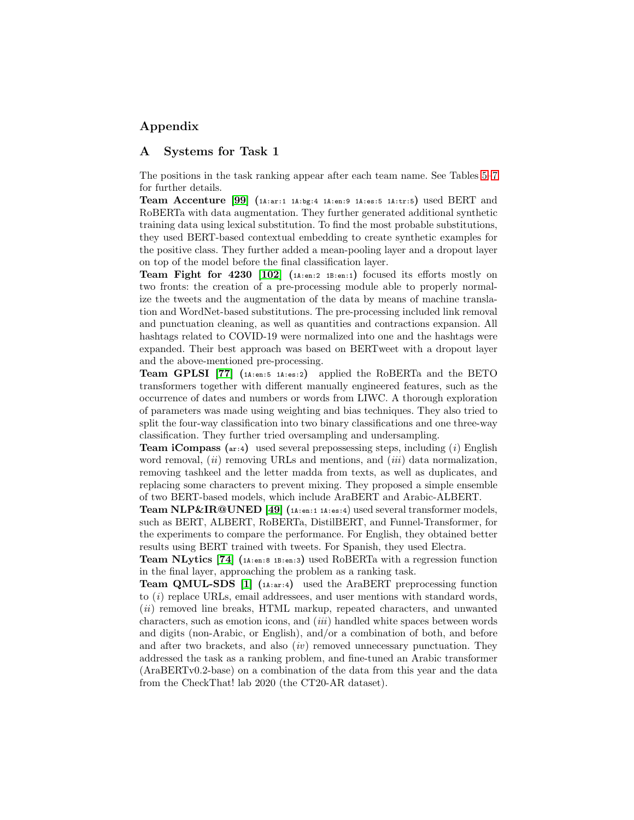# Appendix

### A Systems for Task 1

The positions in the task ranking appear after each team name. See Tables [5–](#page-9-0)[7](#page-11-0) for further details.

**Team Accenture [\[99\]](#page-23-2)**  $(1A:ar:1 \tA:bg:4 \tA:en:9 \tA:es:5 \tA:tr:5)$  used BERT and RoBERTa with data augmentation. They further generated additional synthetic training data using lexical substitution. To find the most probable substitutions, they used BERT-based contextual embedding to create synthetic examples for the positive class. They further added a mean-pooling layer and a dropout layer on top of the model before the final classification layer.

Team Fight for 4230 [\[102\]](#page-23-4) (1A:en:2 1B:en:1) focused its efforts mostly on two fronts: the creation of a pre-processing module able to properly normalize the tweets and the augmentation of the data by means of machine translation and WordNet-based substitutions. The pre-processing included link removal and punctuation cleaning, as well as quantities and contractions expansion. All hashtags related to COVID-19 were normalized into one and the hashtags were expanded. Their best approach was based on BERTweet with a dropout layer and the above-mentioned pre-processing.

Team GPLSI [\[77\]](#page-21-4) (1A:en:5 1A:es:2) applied the RoBERTa and the BETO transformers together with different manually engineered features, such as the occurrence of dates and numbers or words from LIWC. A thorough exploration of parameters was made using weighting and bias techniques. They also tried to split the four-way classification into two binary classifications and one three-way classification. They further tried oversampling and undersampling.

**Team iCompass** ( $ar:4$ ) used several prepossessing steps, including (i) English word removal,  $(ii)$  removing URLs and mentions, and  $(iii)$  data normalization, removing tashkeel and the letter madda from texts, as well as duplicates, and replacing some characters to prevent mixing. They proposed a simple ensemble of two BERT-based models, which include AraBERT and Arabic-ALBERT.

**Team NLP&IR@UNED** [\[49\]](#page-19-8)  $(n_{i+m}: 1 \text{ A: es: } 4)$  used several transformer models, such as BERT, ALBERT, RoBERTa, DistilBERT, and Funnel-Transformer, for the experiments to compare the performance. For English, they obtained better results using BERT trained with tweets. For Spanish, they used Electra.

Team NLytics [\[74\]](#page-21-13) (1A:en:8 1B:en:3) used RoBERTa with a regression function in the final layer, approaching the problem as a ranking task.

**Team QMUL-SDS** [\[1\]](#page-16-2)  $(n_{\text{star}:4})$  used the AraBERT preprocessing function to (i) replace URLs, email addressees, and user mentions with standard words, (*ii*) removed line breaks, HTML markup, repeated characters, and unwanted characters, such as emotion icons, and (iii) handled white spaces between words and digits (non-Arabic, or English), and/or a combination of both, and before and after two brackets, and also  $(iv)$  removed unnecessary punctuation. They addressed the task as a ranking problem, and fine-tuned an Arabic transformer (AraBERTv0.2-base) on a combination of the data from this year and the data from the CheckThat! lab 2020 (the CT20-AR dataset).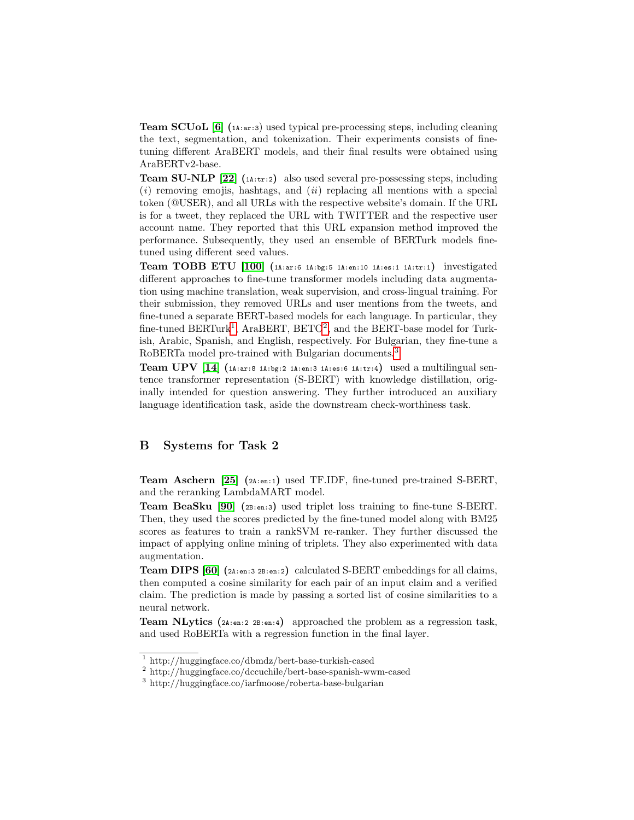Team SCUoL [\[6\]](#page-17-7) (1A:ar:3) used typical pre-processing steps, including cleaning the text, segmentation, and tokenization. Their experiments consists of finetuning different AraBERT models, and their final results were obtained using AraBERTv2-base.

**Team SU-NLP** [\[22\]](#page-18-5)  $(14: \text{tr}:2)$  also used several pre-possessing steps, including  $(i)$  removing emojis, hashtags, and  $(ii)$  replacing all mentions with a special token (@USER), and all URLs with the respective website's domain. If the URL is for a tweet, they replaced the URL with TWITTER and the respective user account name. They reported that this URL expansion method improved the performance. Subsequently, they used an ensemble of BERTurk models finetuned using different seed values.

Team TOBB ETU  $[100]$  (1A:ar:6 1A:bg:5 1A:en:10 1A:es:1 1A:tr:1) investigated different approaches to fine-tune transformer models including data augmentation using machine translation, weak supervision, and cross-lingual training. For their submission, they removed URLs and user mentions from the tweets, and fine-tuned a separate BERT-based models for each language. In particular, they fine-tuned  $BERTurk<sup>1</sup>$  $BERTurk<sup>1</sup>$  $BERTurk<sup>1</sup>$ , AraBERT,  $BETO<sup>2</sup>$  $BETO<sup>2</sup>$  $BETO<sup>2</sup>$ , and the BERT-base model for Turkish, Arabic, Spanish, and English, respectively. For Bulgarian, they fine-tune a RoBERTa model pre-trained with Bulgarian documents.[3](#page-25-2)

**Team UPV** [\[14\]](#page-17-8)  $(14:ar:8 14:bg:2 14:en:3 14:es:6 14:tr:4)$  used a multilingual sentence transformer representation (S-BERT) with knowledge distillation, originally intended for question answering. They further introduced an auxiliary language identification task, aside the downstream check-worthiness task.

# B Systems for Task 2

Team Aschern [\[25\]](#page-18-6) (2A:en:1) used TF.IDF, fine-tuned pre-trained S-BERT, and the reranking LambdaMART model.

Team BeaSku [\[90\]](#page-22-11) (2B:en:3) used triplet loss training to fine-tune S-BERT. Then, they used the scores predicted by the fine-tuned model along with BM25 scores as features to train a rankSVM re-ranker. They further discussed the impact of applying online mining of triplets. They also experimented with data augmentation.

**Team DIPS [\[60\]](#page-20-5)** ( $2A:en:3$   $2B:en:2$ ) calculated S-BERT embeddings for all claims, then computed a cosine similarity for each pair of an input claim and a verified claim. The prediction is made by passing a sorted list of cosine similarities to a neural network.

**Team NLytics** ( $2A:en:2$   $2B:en:4$ ) approached the problem as a regression task, and used RoBERTa with a regression function in the final layer.

<span id="page-25-0"></span><sup>1</sup> http://huggingface.co/dbmdz/bert-base-turkish-cased

<span id="page-25-1"></span><sup>2</sup> http://huggingface.co/dccuchile/bert-base-spanish-wwm-cased

<span id="page-25-2"></span><sup>3</sup> http://huggingface.co/iarfmoose/roberta-base-bulgarian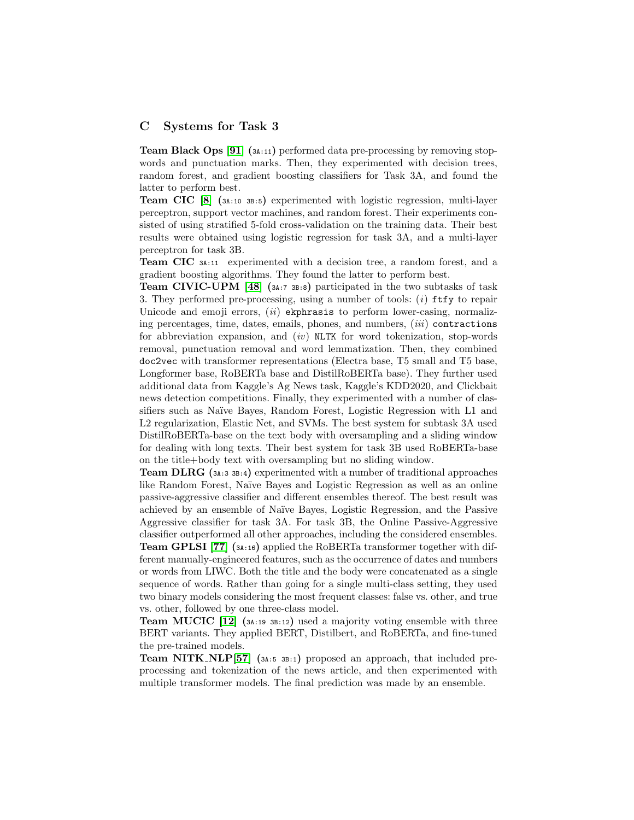### C Systems for Task 3

Team Black Ops [\[91\]](#page-22-13) (3A:11) performed data pre-processing by removing stopwords and punctuation marks. Then, they experimented with decision trees, random forest, and gradient boosting classifiers for Task 3A, and found the latter to perform best.

Team CIC [\[8\]](#page-17-10) (3A:10 3B:5) experimented with logistic regression, multi-layer perceptron, support vector machines, and random forest. Their experiments consisted of using stratified 5-fold cross-validation on the training data. Their best results were obtained using logistic regression for task 3A, and a multi-layer perceptron for task 3B.

Team CIC 3A:11 experimented with a decision tree, a random forest, and a gradient boosting algorithms. They found the latter to perform best.

**Team CIVIC-UPM** [\[48\]](#page-19-10)  $(3A:7 3B:8)$  participated in the two subtasks of task 3. They performed pre-processing, using a number of tools: (i) ftfy to repair Unicode and emoji errors,  $(ii)$  ekphrasis to perform lower-casing, normalizing percentages, time, dates, emails, phones, and numbers,  $(iii)$  contractions for abbreviation expansion, and  $(iv)$  NLTK for word tokenization, stop-words removal, punctuation removal and word lemmatization. Then, they combined doc2vec with transformer representations (Electra base, T5 small and T5 base, Longformer base, RoBERTa base and DistilRoBERTa base). They further used additional data from Kaggle's Ag News task, Kaggle's KDD2020, and Clickbait news detection competitions. Finally, they experimented with a number of classifiers such as Naïve Bayes, Random Forest, Logistic Regression with L1 and L2 regularization, Elastic Net, and SVMs. The best system for subtask 3A used DistilRoBERTa-base on the text body with oversampling and a sliding window for dealing with long texts. Their best system for task 3B used RoBERTa-base on the title+body text with oversampling but no sliding window.

Team DLRG (3A:3 3B:4) experimented with a number of traditional approaches like Random Forest, Na¨ıve Bayes and Logistic Regression as well as an online passive-aggressive classifier and different ensembles thereof. The best result was achieved by an ensemble of Na¨ıve Bayes, Logistic Regression, and the Passive Aggressive classifier for task 3A. For task 3B, the Online Passive-Aggressive classifier outperformed all other approaches, including the considered ensembles. Team GPLSI [\[77\]](#page-21-4) (3A:16) applied the RoBERTa transformer together with different manually-engineered features, such as the occurrence of dates and numbers or words from LIWC. Both the title and the body were concatenated as a single sequence of words. Rather than going for a single multi-class setting, they used two binary models considering the most frequent classes: false vs. other, and true vs. other, followed by one three-class model.

Team MUCIC [\[12\]](#page-17-9) (3A:19 3B:12) used a majority voting ensemble with three BERT variants. They applied BERT, Distilbert, and RoBERTa, and fine-tuned the pre-trained models.

**Team NITK\_NLP**[\[57\]](#page-20-7) ( $3A:5$   $3B:1$ ) proposed an approach, that included preprocessing and tokenization of the news article, and then experimented with multiple transformer models. The final prediction was made by an ensemble.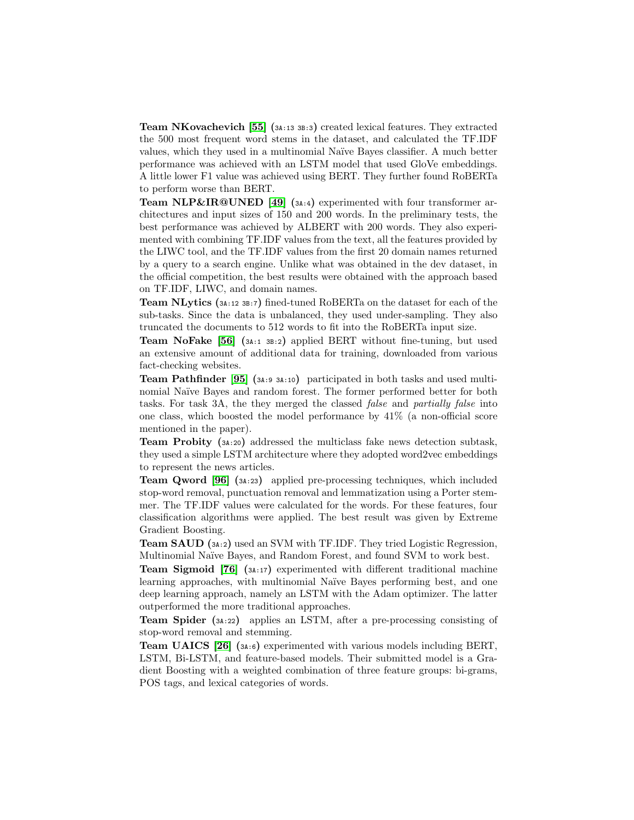**Team NKovachevich** [\[55\]](#page-20-8)  $(s_{4:13} \text{ } s_{8:3})$  created lexical features. They extracted the 500 most frequent word stems in the dataset, and calculated the TF.IDF values, which they used in a multinomial Na¨ıve Bayes classifier. A much better performance was achieved with an LSTM model that used GloVe embeddings. A little lower F1 value was achieved using BERT. They further found RoBERTa to perform worse than BERT.

Team NLP&IR@UNED [\[49\]](#page-19-8) (3A:4) experimented with four transformer architectures and input sizes of 150 and 200 words. In the preliminary tests, the best performance was achieved by ALBERT with 200 words. They also experimented with combining TF.IDF values from the text, all the features provided by the LIWC tool, and the TF.IDF values from the first 20 domain names returned by a query to a search engine. Unlike what was obtained in the dev dataset, in the official competition, the best results were obtained with the approach based on TF.IDF, LIWC, and domain names.

Team NLytics (3A:12 3B:7) fined-tuned RoBERTa on the dataset for each of the sub-tasks. Since the data is unbalanced, they used under-sampling. They also truncated the documents to 512 words to fit into the RoBERTa input size.

Team NoFake [\[56\]](#page-20-6) (3A:1 3B:2) applied BERT without fine-tuning, but used an extensive amount of additional data for training, downloaded from various fact-checking websites.

Team Pathfinder [\[95\]](#page-22-12) (3A:9 3A:10) participated in both tasks and used multinomial Naïve Bayes and random forest. The former performed better for both tasks. For task 3A, the they merged the classed false and partially false into one class, which boosted the model performance by 41% (a non-official score mentioned in the paper).

Team Probity (3A:20) addressed the multiclass fake news detection subtask, they used a simple LSTM architecture where they adopted word2vec embeddings to represent the news articles.

Team Qword [\[96\]](#page-22-14) (3A:23) applied pre-processing techniques, which included stop-word removal, punctuation removal and lemmatization using a Porter stemmer. The TF.IDF values were calculated for the words. For these features, four classification algorithms were applied. The best result was given by Extreme Gradient Boosting.

Team SAUD (3A:2) used an SVM with TF.IDF. They tried Logistic Regression, Multinomial Naïve Bayes, and Random Forest, and found SVM to work best.

Team Sigmoid [\[76\]](#page-21-6) (3A:17) experimented with different traditional machine learning approaches, with multinomial Naïve Bayes performing best, and one deep learning approach, namely an LSTM with the Adam optimizer. The latter outperformed the more traditional approaches.

Team Spider (3A:22) applies an LSTM, after a pre-processing consisting of stop-word removal and stemming.

Team UAICS [\[26\]](#page-18-8) (3A:6) experimented with various models including BERT, LSTM, Bi-LSTM, and feature-based models. Their submitted model is a Gradient Boosting with a weighted combination of three feature groups: bi-grams, POS tags, and lexical categories of words.